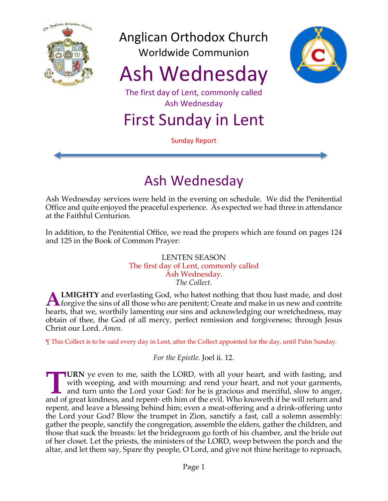

Anglican Orthodox Church Worldwide Communion

# Ash Wednesday



The first day of Lent, commonly called Ash Wednesday

## First Sunday in Lent

Sunday Report

## Ash Wednesday

Ash Wednesday services were held in the evening on schedule. We did the Penitential Office and quite enjoyed the peaceful experience. As expected we had three in attendance at the Faithful Centurion.

In addition, to the Penitential Office, we read the propers which are found on pages 124 and 125 in the Book of Common Prayer:

#### LENTEN SEASON The first day of Lent, commonly called Ash Wednesday. *The Collect.*

**LMIGHTY** and everlasting God, who hatest nothing that thou hast made, and dost **ALMIGHTY** and everlasting God, who hatest nothing that thou hast made, and dost forgive the sins of all those who are penitent; Create and make in us new and contrite that the sins of all those who are penitent; Create an hearts, that we, worthily lamenting our sins and acknowledging our wretchedness, may obtain of thee, the God of all mercy, perfect remission and forgiveness; through Jesus Christ our Lord. *Amen.*

¶ This Collect is to be said every day in Lent, after the Collect appointed for the day, until Palm Sunday.

*For the Epistle.* Joel ii. 12.

**URN** ye even to me, saith the LORD, with all your heart, and with fasting, and with weeping, and with mourning: and rend your heart, and not your garments, and turn unto the Lord your God: for he is gracious and merciful, slow to anger, **TURN** ye even to me, saith the LORD, with all your heart, and with fasting, and with weeping, and with mourning: and rend your heart, and not your garments, and turn unto the Lord your God: for he is gracious and merciful repent, and leave a blessing behind him; even a meat-offering and a drink-offering unto the Lord your God? Blow the trumpet in Zion, sanctify a fast, call a solemn assembly: gather the people, sanctify the congregation, assemble the elders, gather the children, and those that suck the breasts: let the bridegroom go forth of his chamber, and the bride out of her closet. Let the priests, the ministers of the LORD, weep between the porch and the altar, and let them say, Spare thy people, O Lord, and give not thine heritage to reproach,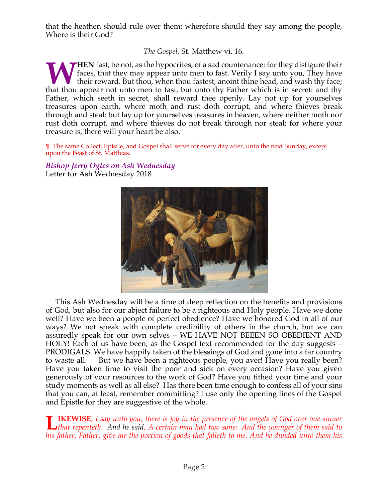that the heathen should rule over them: wherefore should they say among the people, Where is their God?

*The Gospel.* St. Matthew vi. 16.

**HEN** fast, be not, as the hypocrites, of a sad countenance: for they disfigure their faces, that they may appear unto men to fast. Verily I say unto you, They have their reward. But thou, when thou fastest, anoint thine head, and wash thy face; **that they** hast, be not, as the hypocrites, of a sad countenance: for they disfigure their faces, that they may appear unto men to fast. Verily I say unto you, They have their reward. But thou, when thou fastest, anoint t Father, which seeth in secret, shall reward thee openly. Lay not up for yourselves treasures upon earth, where moth and rust doth corrupt, and where thieves break through and steal: but lay up for yourselves treasures in heaven, where neither moth nor rust doth corrupt, and where thieves do not break through nor steal: for where your treasure is, there will your heart be also.

¶ The same Collect, Epistle, and Gospel shall serve for every day after, unto the next Sunday, except upon the Feast of St. Matthias.

*Bishop Jerry Ogles on Ash Wednesday* Letter for Ash Wednesday 2018



This Ash Wednesday will be a time of deep reflection on the benefits and provisions of God, but also for our abject failure to be a righteous and Holy people. Have we done well? Have we been a people of perfect obedience? Have we honored God in all of our ways? We not speak with complete credibility of others in the church, but we can assuredly speak for our own selves – WE HAVE NOT BEEEN SO OBEDIENT AND HOLY! Each of us have been, as the Gospel text recommended for the day suggests – PRODIGALS. We have happily taken of the blessings of God and gone into a far country to waste all. But we have been a righteous people, you aver! Have you really been? Have you taken time to visit the poor and sick on every occasion? Have you given generously of your resources to the work of God? Have you tithed your time and your study moments as well as all else? Has there been time enough to confess all of your sins that you can, at least, remember committing? I use only the opening lines of the Gospel and Epistle for they are suggestive of the whole.

**IKEWISE***, I say unto you, there is joy in the presence of the angels of God over one sinner*  **IFFORTHER** *that repenteth.* And he said, A certain man had two sons: And the younger of them said to a line follow Follow Follow *in the younger* of them said to be also follow Follow *Follow*. *his father, Father, give me the portion of goods that falleth to me. And he divided unto them his*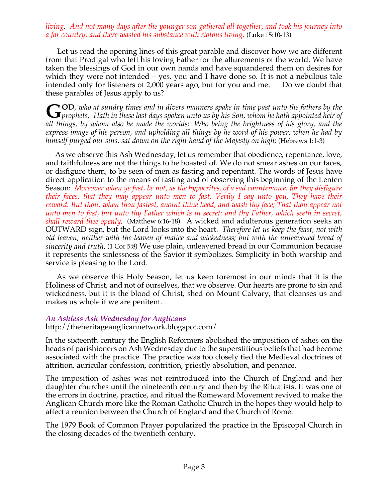*living. And not many days after the younger son gathered all together, and took his journey into a far country, and there wasted his substance with riotous living*. (Luke 15:10-13)

Let us read the opening lines of this great parable and discover how we are different from that Prodigal who left his loving Father for the allurements of the world. We have taken the blessings of God in our own hands and have squandered them on desires for which they were not intended – yes, you and I have done so. It is not a nebulous tale intended only for listeners of 2,000 years ago, but for you and me. Do we doubt that these parables of Jesus apply to us?

**OD***, who at sundry times and in divers manners spake in time past unto the fathers by the*  **COD**, who at sundry times and in divers manners spake in time past unto the fathers by the prophets, Hath in these last days spoken unto us by his Son, whom he hath appointed heir of *all things, by whom also he made the worlds; Who being the brightness of his glory, and the express image of his person, and upholding all things by he word of his power, when he had by himself purged our sins, sat down on the right hand of the Majesty on high*; (Hebrews 1:1-3)

As we observe this Ash Wednesday, let us remember that obedience, repentance, love, and faithfulness are not the things to be boasted of. We do not smear ashes on our faces, or disfigure them, to be seen of men as fasting and repentant. The words of Jesus have direct application to the means of fasting and of observing this beginning of the Lenten Season: *Moreover when ye fast, be not, as the hypocrites, of a sad countenance: for they disfigure their faces, that they may appear unto men to fast. Verily I say unto you, They have their reward. But thou, when thou fastest, anoint thine head, and wash thy face; That thou appear not unto men to fast, but unto thy Father which is in secret: and thy Father, which seeth in secret, shall reward thee openly.* (Matthew 6:16-18) A wicked and adulterous generation seeks an OUTWARD sign, but the Lord looks into the heart. *Therefore let us keep the feast, not with old leaven, neither with the leaven of malice and wickedness; but with the unleavened bread of sincerity and truth*. (1 Cor 5:8) We use plain, unleavened bread in our Communion because it represents the sinlessness of the Savior it symbolizes. Simplicity in both worship and service is pleasing to the Lord.

As we observe this Holy Season, let us keep foremost in our minds that it is the Holiness of Christ, and not of ourselves, that we observe. Our hearts are prone to sin and wickedness, but it is the blood of Christ, shed on Mount Calvary, that cleanses us and makes us whole if we are penitent.

#### *An Ashless Ash Wednesday for Anglicans*

http://theheritageanglicannetwork.blogspot.com/

In the sixteenth century the English Reformers abolished the imposition of ashes on the heads of parishioners on Ash Wednesday due to the superstitious beliefs that had become associated with the practice. The practice was too closely tied the Medieval doctrines of attrition, auricular confession, contrition, priestly absolution, and penance.

The imposition of ashes was not reintroduced into the Church of England and her daughter churches until the nineteenth century and then by the Ritualists. It was one of the errors in doctrine, practice, and ritual the Romeward Movement revived to make the Anglican Church more like the Roman Catholic Church in the hopes they would help to affect a reunion between the Church of England and the Church of Rome.

The 1979 Book of Common Prayer popularized the practice in the Episcopal Church in the closing decades of the twentieth century.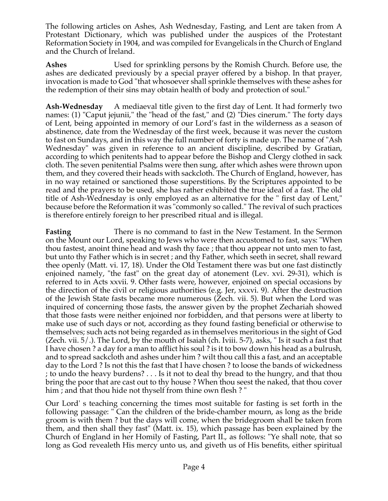The following articles on Ashes, Ash Wednesday, Fasting, and Lent are taken from A Protestant Dictionary, which was published under the auspices of the Protestant Reformation Society in 1904, and was compiled for Evangelicals in the Church of England and the Church of Ireland.

**Ashes** Used for sprinkling persons by the Romish Church. Before use, the ashes are dedicated previously by a special prayer offered by a bishop. In that prayer, invocation is made to God "that whosoever shall sprinkle themselves with these ashes for the redemption of their sins may obtain health of body and protection of soul."

**Ash-Wednesday** A mediaeval title given to the first day of Lent. It had formerly two names: (1) "Caput jejunii," the "head of the fast," and (2) "Dies cinerum." The forty days of Lent, being appointed in memory of our Lord's fast in the wilderness as a season of abstinence, date from the Wednesday of the first week, because it was never the custom to fast on Sundays, and in this way the full number of forty is made up. The name of "Ash Wednesday" was given in reference to an ancient discipline, described by Gratian, according to which penitents had to appear before the Bishop and Clergy clothed in sack cloth. The seven penitential Psalms were then sung, after which ashes were thrown upon them, and they covered their heads with sackcloth. The Church of England, however, has in no way retained or sanctioned those superstitions. By the Scriptures appointed to be read and the prayers to be used, she has rather exhibited the true ideal of a fast. The old title of Ash-Wednesday is only employed as an alternative for the " first day of Lent," because before the Reformation it was "commonly so called." The revival of such practices is therefore entirely foreign to her prescribed ritual and is illegal.

**Fasting** There is no command to fast in the New Testament. In the Sermon on the Mount our Lord, speaking to Jews who were then accustomed to fast, says: "When thou fastest, anoint thine head and wash thy face ; that thou appear not unto men to fast, but unto thy Father which is in secret ; and thy Father, which seeth in secret, shall reward thee openly (Matt. vi. 17, 18). Under the Old Testament there was but one fast distinctly enjoined namely, "the fast" on the great day of atonement (Lev. xvi. 29-31), which is referred to in Acts xxvii. 9. Other fasts were, however, enjoined on special occasions by the direction of the civil or religious authorities (e.g. Jer, xxxvi. 9). After the destruction of the Jewish State fasts became more numerous (Zech. vii. 5). But when the Lord was inquired of concerning those fasts, the answer given by the prophet Zechariah showed that those fasts were neither enjoined nor forbidden, and that persons were at liberty to make use of such days or not, according as they found fasting beneficial or otherwise to themselves; such acts not being regarded as in themselves meritorious in the sight of God (Zech. vii. 5/.). The Lord, by the mouth of Isaiah (ch. Iviii. 5-7), asks, " Is it such a fast that I have chosen ? a day for a man to afflict his soul ? is it to bow down his head as a bulrush, and to spread sackcloth and ashes under him ? wilt thou call this a fast, and an acceptable day to the Lord ? Is not this the fast that I have chosen ? to loose the bands of wickedness ; to undo the heavy burdens? . . . Is it not to deal thy bread to the hungry, and that thou bring the poor that are cast out to thy house ? When thou seest the naked, that thou cover him ; and that thou hide not thyself from thine own flesh ? "

Our Lord' s teaching concerning the times most suitable for fasting is set forth in the following passage: " Can the children of the bride-chamber mourn, as long as the bride groom is with them ? but the days will come, when the bridegroom shall be taken from them, and then shall they fast" (Matt. ix. 15), which passage has been explained by the Church of England in her Homily of Fasting, Part II., as follows: "Ye shall note, that so long as God revealeth His mercy unto us, and giveth us of His benefits, either spiritual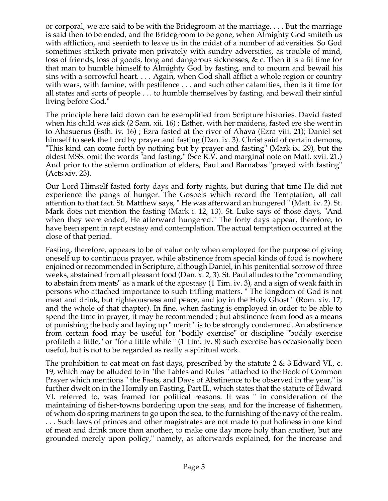or corporal, we are said to be with the Bridegroom at the marriage. . . . But the marriage is said then to be ended, and the Bridegroom to be gone, when Almighty God smiteth us with affliction, and seenieth to leave us in the midst of a number of adversities. So God sometimes striketh private men privately with sundry adversities, as trouble of mind, loss of friends, loss of goods, long and dangerous sicknesses, & c. Then it is a fit time for that man to humble himself to Almighty God by fasting, and to mourn and bewail his sins with a sorrowful heart. . . . Again, when God shall afflict a whole region or country with wars, with famine, with pestilence . . . and such other calamities, then is it time for all states and sorts of people . . . to humble themselves by fasting, and bewail their sinful living before God."

The principle here laid down can be exemplified from Scripture histories. David fasted when his child was sick (2 Sam. xii. 16) ; Esther, with her maidens, fasted ere she went in to Ahasuerus (Esth. iv. 16) ; Ezra fasted at the river of Ahava (Ezra viii. 21); Daniel set himself to seek the Lord by prayer and fasting (Dan. ix. 3). Christ said of certain demons, "This kind can come forth by nothing but by prayer and fasting" (Mark ix. 29), but the oldest MSS. omit the words "and fasting." (See R.V. and marginal note on Matt. xvii. 21.) And prior to the solemn ordination of elders, Paul and Barnabas "prayed with fasting" (Acts xiv. 23).

Our Lord Himself fasted forty days and forty nights, but during that time He did not experience the pangs of hunger. The Gospels which record the Temptation, all call attention to that fact. St. Matthew says, " He was afterward an hungered " (Matt. iv. 2). St. Mark does not mention the fasting (Mark i. 12, 13). St. Luke says of those days, "And when they were ended, He afterward hungered." The forty days appear, therefore, to have been spent in rapt ecstasy and contemplation. The actual temptation occurred at the close of that period.

Fasting, therefore, appears to be of value only when employed for the purpose of giving oneself up to continuous prayer, while abstinence from special kinds of food is nowhere enjoined or recommended in Scripture, although Daniel, in his penitential sorrow of three weeks, abstained from all pleasant food (Dan. x. 2, 3). St. Paul alludes to the "commanding to abstain from meats" as a mark of the apostasy (1 Tim. iv. 3), and a sign of weak faith in persons who attached importance to such trifling matters. " The kingdom of God is not meat and drink, but righteousness and peace, and joy in the Holy Ghost " (Rom. xiv. 17, and the whole of that chapter). In fine, when fasting is employed in order to be able to spend the time in prayer, it may be recommended ; but abstinence from food as a means of punishing the body and laying up " merit " is to be strongly condemned. An abstinence from certain food may be useful for "bodily exercise" or discipline "bodily exercise profiteth a little," or "for a little while " (1 Tim. iv. 8) such exercise has occasionally been useful, but is not to be regarded as really a spiritual work.

The prohibition to eat meat on fast days, prescribed by the statute 2 & 3 Edward VI., c. 19, which may be alluded to in "the Tables and Rules " attached to the Book of Common Prayer which mentions " the Fasts, and Days of Abstinence to be observed in the year," is further dwelt on in the Homily on Fasting, Part II., which states that the statute of Edward VI. referred to, was framed for political reasons. It was " in consideration of the maintaining of fisher-towns bordering upon the seas, and for the increase of fishermen, of whom do spring mariners to go upon the sea, to the furnishing of the navy of the realm. . . . Such laws of princes and other magistrates are not made to put holiness in one kind of meat and drink more than another, to make one day more holy than another, but are grounded merely upon policy," namely, as afterwards explained, for the increase and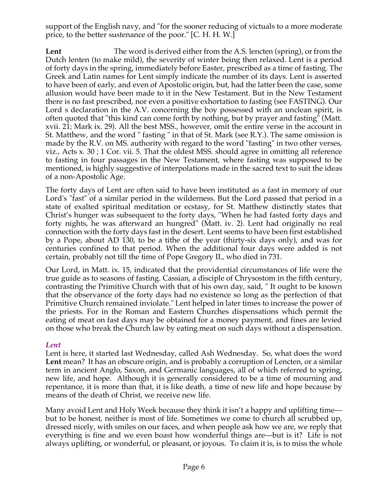support of the English navy, and "for the sooner reducing of victuals to a more moderate price, to the better sustenance of the poor." [C. H. H. W.]

**Lent** The word is derived either from the A.S. lencten (spring), or from the Dutch lenten (to make mild), the severity of winter being then relaxed. Lent is a period of forty days in the spring, immediately before Easter, prescribed as a time of fasting. The Greek and Latin names for Lent simply indicate the number of its days. Lent is asserted to have been of early, and even of Apostolic origin, but, had the latter been the case, some allusion would have been made to it in the New Testament. But in the New Testament there is no fast prescribed, nor even a positive exhortation to fasting (see FASTING). Our Lord s declaration in the A.V. concerning the boy possessed with an unclean spirit, is often quoted that "this kind can come forth by nothing, but by prayer and fasting" (Matt. xvii. 21; Mark ix. 29). All the best MSS., however, omit the entire verse in the account in St. Matthew, and the word " fasting " in that of St. Mark (see R.Y.). The same omission is made by the R.V. on MS. authority with regard to the word "fasting" in two other verses, viz., Acts x. 30 ; 1 Cor. vii. 5. That the oldest MSS. should agree in omitting all reference to fasting in four passages in the New Testament, where fasting was supposed to be mentioned, is highly suggestive of interpolations made in the sacred text to suit the ideas of a non-Apostolic Age.

The forty days of Lent are often said to have been instituted as a fast in memory of our Lord's "fast" of a similar period in the wilderness. But the Lord passed that period in a state of exalted spiritual meditation or ecstasy, for St. Matthew distinctly states that Christ's hunger was subsequent to the forty days, "When he had fasted forty days and forty nights, he was afterward an hungred" (Matt. iv. 2). Lent had originally no real connection with the forty days fast in the desert. Lent seems to have been first established by a Pope, about AD 130, to be a tithe of the year (thirty-six days only), and was for centuries confined to that period. When the additional four days were added is not certain, probably not till the time of Pope Gregory II., who died in 731.

Our Lord, in Matt. ix. 15, indicated that the providential circumstances of life were the true guide as to seasons of fasting. Cassian, a disciple of Chrysostom in the fifth century, contrasting the Primitive Church with that of his own day, said, " It ought to be known that the observance of the forty days had no existence so long as the perfection of that Primitive Church remained inviolate." Lent helped in later times to increase the power of the priests. For in the Roman and Eastern Churches dispensations which permit the eating of meat on fast days may be obtained for a money payment, and fines are levied on those who break the Church law by eating meat on such days without a dispensation.

#### *Lent*

Lent is here, it started last Wednesday, called Ash Wednesday. So, what does the word **Lent** mean? It has an obscure origin, and is probably a corruption of Lencten, or a similar term in ancient Anglo, Saxon, and Germanic languages, all of which referred to spring, new life, and hope. Although it is generally considered to be a time of mourning and repentance, it is more than that, it is like death, a time of new life and hope because by means of the death of Christ, we receive new life.

Many avoid Lent and Holy Week because they think it isn't a happy and uplifting time but to be honest, neither is most of life. Sometimes we come to church all scrubbed up, dressed nicely, with smiles on our faces, and when people ask how we are, we reply that everything is fine and we even boast how wonderful things are—but is it? Life is not always uplifting, or wonderful, or pleasant, or joyous. To claim it is, is to miss the whole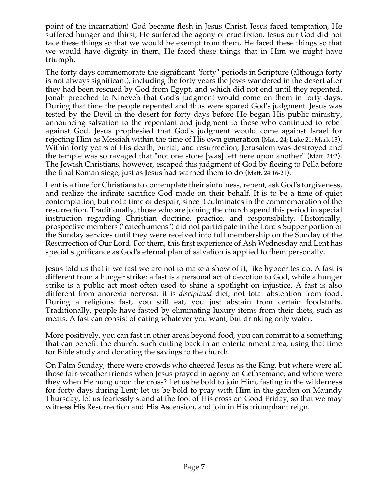point of the incarnation! God became flesh in Jesus Christ. Jesus faced temptation, He suffered hunger and thirst, He suffered the agony of crucifixion. Jesus our God did not face these things so that we would be exempt from them, He faced these things so that we would have dignity in them, He faced these things that in Him we might have triumph.

The forty days commemorate the significant "forty" periods in Scripture (although forty is not always significant), including the forty years the Jews wandered in the desert after they had been rescued by God from Egypt, and which did not end until they repented. Jonah preached to Nineveh that God's judgment would come on them in forty days. During that time the people repented and thus were spared God's judgment. Jesus was tested by the Devil in the desert for forty days before He began His public ministry, announcing salvation to the repentant and judgment to those who continued to rebel against God. Jesus prophesied that God's judgment would come against Israel for rejecting Him as Messiah within the time of His own generation (Matt. 24; Luke 21; Mark 13). Within forty years of His death, burial, and resurrection, Jerusalem was destroyed and the temple was so ravaged that "not one stone [was] left here upon another" (Matt. 24:2). The Jewish Christians, however, escaped this judgment of God by fleeing to Pella before the final Roman siege, just as Jesus had warned them to do (Matt. 24:16-21).

Lent is a time for Christians to contemplate their sinfulness, repent, ask God's forgiveness, and realize the infinite sacrifice God made on their behalf. It is to be a time of quiet contemplation, but not a time of despair, since it culminates in the commemoration of the resurrection. Traditionally, those who are joining the church spend this period in special instruction regarding Christian doctrine, practice, and responsibility. Historically, prospective members ("catechumens") did not participate in the Lord's Supper portion of the Sunday services until they were received into full membership on the Sunday of the Resurrection of Our Lord. For them, this first experience of Ash Wednesday and Lent has special significance as God's eternal plan of salvation is applied to them personally.

Jesus told us that if we fast we are not to make a show of it, like hypocrites do. A fast is different from a hunger strike: a fast is a personal act of devotion to God, while a hunger strike is a public act most often used to shine a spotlight on injustice. A fast is also different from anorexia nervosa: it is *disciplined* diet, not total abstention from food. During a religious fast, you still eat, you just abstain from certain foodstuffs. Traditionally, people have fasted by eliminating luxury items from their diets, such as meats. A fast can consist of eating whatever you want, but drinking only water.

More positively, you can fast in other areas beyond food, you can commit to a something that can benefit the church, such cutting back in an entertainment area, using that time for Bible study and donating the savings to the church.

On Palm Sunday, there were crowds who cheered Jesus as the King, but where were all those fair-weather friends when Jesus prayed in agony on Gethsemane, and where were they when He hung upon the cross? Let us be bold to join Him, fasting in the wilderness for forty days during Lent; let us be bold to pray with Him in the garden on Maundy Thursday, let us fearlessly stand at the foot of His cross on Good Friday, so that we may witness His Resurrection and His Ascension, and join in His triumphant reign.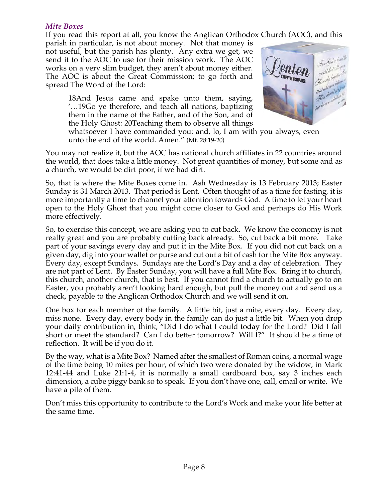#### *Mite Boxes*

If you read this report at all, you know the Anglican Orthodox Church (AOC), and this

parish in particular, is not about money. Not that money is not useful, but the parish has plenty. Any extra we get, we send it to the AOC to use for their mission work. The AOC works on a very slim budget, they aren't about money either. The AOC is about the Great Commission; to go forth and spread The Word of the Lord:

> 18And Jesus came and spake unto them, saying, '…19Go ye therefore, and teach all nations, baptizing them in the name of the Father, and of the Son, and of the Holy Ghost: 20Teaching them to observe all things



whatsoever I have commanded you: and, lo, I am with you always, even unto the end of the world. Amen." (Mt. 28:19-20)

You may not realize it, but the AOC has national church affiliates in 22 countries around the world, that does take a little money. Not great quantities of money, but some and as a church, we would be dirt poor, if we had dirt.

So, that is where the Mite Boxes come in. Ash Wednesday is 13 February 2013; Easter Sunday is 31 March 2013. That period is Lent. Often thought of as a time for fasting, it is more importantly a time to channel your attention towards God. A time to let your heart open to the Holy Ghost that you might come closer to God and perhaps do His Work more effectively.

So, to exercise this concept, we are asking you to cut back. We know the economy is not really great and you are probably cutting back already. So, cut back a bit more. Take part of your savings every day and put it in the Mite Box. If you did not cut back on a given day, dig into your wallet or purse and cut out a bit of cash for the Mite Box anyway. Every day, except Sundays. Sundays are the Lord's Day and a day of celebration. They are not part of Lent. By Easter Sunday, you will have a full Mite Box. Bring it to church, this church, another church, that is best. If you cannot find a church to actually go to on Easter, you probably aren't looking hard enough, but pull the money out and send us a check, payable to the Anglican Orthodox Church and we will send it on.

One box for each member of the family. A little bit, just a mite, every day. Every day, miss none. Every day, every body in the family can do just a little bit. When you drop your daily contribution in, think, "Did I do what I could today for the Lord? Did I fall short or meet the standard? Can I do better tomorrow? Will I?" It should be a time of reflection. It will be if you do it.

By the way, what is a Mite Box? Named after the smallest of Roman coins, a normal wage of the time being 10 mites per hour, of which two were donated by the widow, in Mark 12:41-44 and Luke 21:1-4, it is normally a small cardboard box, say 3 inches each dimension, a cube piggy bank so to speak. If you don't have one, call, email or write. We have a pile of them.

Don't miss this opportunity to contribute to the Lord's Work and make your life better at the same time.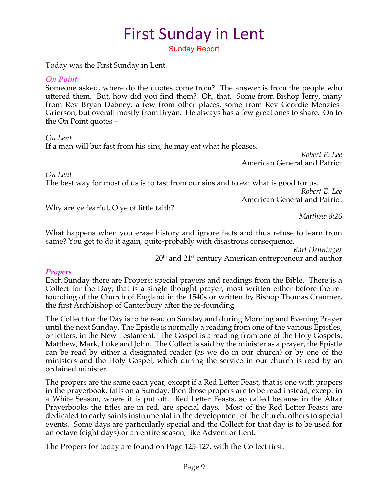# First Sunday in Lent

Sunday Report

Today was the First Sunday in Lent.

#### *On Point*

Someone asked, where do the quotes come from? The answer is from the people who uttered them. But, how did you find them? Oh, that. Some from Bishop Jerry, many from Rev Bryan Dabney, a few from other places, some from Rev Geordie Menzies-Grierson, but overall mostly from Bryan. He always has a few great ones to share. On to the On Point quotes –

#### *On Lent*

If a man will but fast from his sins, he may eat what he pleases.

*Robert E. Lee* American General and Patriot

*On Lent*

The best way for most of us is to fast from our sins and to eat what is good for us. *Robert E. Lee* American General and Patriot

Why are ye fearful, O ye of little faith?

*Matthew 8:26*

What happens when you erase history and ignore facts and thus refuse to learn from same? You get to do it again, quite-probably with disastrous consequence.

> *Karl Denninger*  $20<sup>th</sup>$  and  $21<sup>st</sup>$  century American entrepreneur and author

#### *Propers*

Each Sunday there are Propers: special prayers and readings from the Bible. There is a Collect for the Day; that is a single thought prayer, most written either before the refounding of the Church of England in the 1540s or written by Bishop Thomas Cranmer, the first Archbishop of Canterbury after the re-founding.

The Collect for the Day is to be read on Sunday and during Morning and Evening Prayer until the next Sunday. The Epistle is normally a reading from one of the various Epistles, or letters, in the New Testament. The Gospel is a reading from one of the Holy Gospels, Matthew, Mark, Luke and John. The Collect is said by the minister as a prayer, the Epistle can be read by either a designated reader (as we do in our church) or by one of the ministers and the Holy Gospel, which during the service in our church is read by an ordained minister.

The propers are the same each year, except if a Red Letter Feast, that is one with propers in the prayerbook, falls on a Sunday, then those propers are to be read instead, except in a White Season, where it is put off. Red Letter Feasts, so called because in the Altar Prayerbooks the titles are in red, are special days. Most of the Red Letter Feasts are dedicated to early saints instrumental in the development of the church, others to special events. Some days are particularly special and the Collect for that day is to be used for an octave (eight days) or an entire season, like Advent or Lent.

The Propers for today are found on Page 125-127, with the Collect first: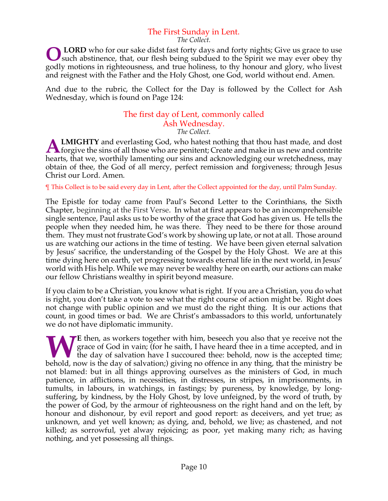#### The First Sunday in Lent.

*The Collect.*

**LORD** who for our sake didst fast forty days and forty nights; Give us grace to use such abstinence, that, our flesh being subdued to the Spirit we may ever obey thy godly motions in righteousness, and true holiness, to thy honour and glory, who livest and reignest with the Father and the Holy Ghost, one God, world without end. Amen. **O**

And due to the rubric, the Collect for the Day is followed by the Collect for Ash Wednesday, which is found on Page 124:

#### The first day of Lent, commonly called Ash Wednesday. *The Collect.*

**LMIGHTY** and everlasting God, who hatest nothing that thou hast made, and dost **ALMIGHTY** and everlasting God, who hatest nothing that thou hast made, and dost forgive the sins of all those who are penitent; Create and make in us new and contrite that the sins of all those who are penitent; Create an hearts, that we, worthily lamenting our sins and acknowledging our wretchedness, may obtain of thee, the God of all mercy, perfect remission and forgiveness; through Jesus Christ our Lord. Amen.

¶ This Collect is to be said every day in Lent, after the Collect appointed for the day, until Palm Sunday.

The Epistle for today came from Paul's Second Letter to the Corinthians, the Sixth Chapter, beginning at the First Verse. In what at first appears to be an incomprehensible single sentence, Paul asks us to be worthy of the grace that God has given us. He tells the people when they needed him, he was there. They need to be there for those around them. They must not frustrate God's work by showing up late, or not at all. Those around us are watching our actions in the time of testing. We have been given eternal salvation by Jesus' sacrifice, the understanding of the Gospel by the Holy Ghost. We are at this time dying here on earth, yet progressing towards eternal life in the next world, in Jesus' world with His help. While we may never be wealthy here on earth, our actions can make our fellow Christians wealthy in spirit beyond measure.

If you claim to be a Christian, you know what is right. If you are a Christian, you do what is right, you don't take a vote to see what the right course of action might be. Right does not change with public opinion and we must do the right thing. It is our actions that count, in good times or bad. We are Christ's ambassadors to this world, unfortunately we do not have diplomatic immunity.

**F** then, as workers together with him, beseech you also that ye receive not the grace of God in vain; (for he saith, I have heard thee in a time accepted, and in I the day of salvation have I succoured thee: behold, now is the accepted time; **E** then, as workers together with him, beseech you also that ye receive not the grace of God in vain; (for he saith, I have heard thee in a time accepted, and in the day of salvation have I succoured thee: behold, now is not blamed: but in all things approving ourselves as the ministers of God, in much patience, in afflictions, in necessities, in distresses, in stripes, in imprisonments, in tumults, in labours, in watchings, in fastings; by pureness, by knowledge, by longsuffering, by kindness, by the Holy Ghost, by love unfeigned, by the word of truth, by the power of God, by the armour of righteousness on the right hand and on the left, by honour and dishonour, by evil report and good report: as deceivers, and yet true; as unknown, and yet well known; as dying, and, behold, we live; as chastened, and not killed; as sorrowful, yet alway rejoicing; as poor, yet making many rich; as having nothing, and yet possessing all things.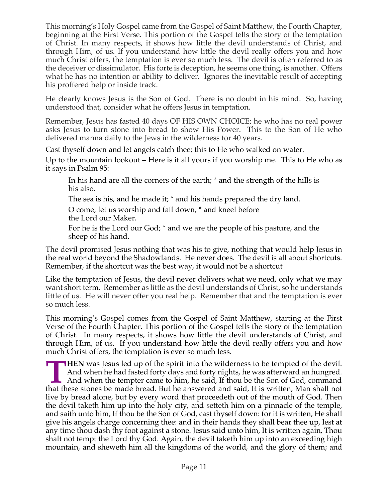This morning's Holy Gospel came from the Gospel of Saint Matthew, the Fourth Chapter, beginning at the First Verse. This portion of the Gospel tells the story of the temptation of Christ. In many respects, it shows how little the devil understands of Christ, and through Him, of us. If you understand how little the devil really offers you and how much Christ offers, the temptation is ever so much less. The devil is often referred to as the deceiver or dissimulator. His forte is deception, he seems one thing, is another. Offers what he has no intention or ability to deliver. Ignores the inevitable result of accepting his proffered help or inside track.

He clearly knows Jesus is the Son of God. There is no doubt in his mind. So, having understood that, consider what he offers Jesus in temptation.

Remember, Jesus has fasted 40 days OF HIS OWN CHOICE; he who has no real power asks Jesus to turn stone into bread to show His Power. This to the Son of He who delivered manna daily to the Jews in the wilderness for 40 years.

Cast thyself down and let angels catch thee; this to He who walked on water.

Up to the mountain lookout – Here is it all yours if you worship me. This to He who as it says in Psalm 95:

In his hand are all the corners of the earth; \* and the strength of the hills is his also.

The sea is his, and he made it; \* and his hands prepared the dry land.

O come, let us worship and fall down, \* and kneel before the Lord our Maker.

For he is the Lord our God; \* and we are the people of his pasture, and the sheep of his hand.

The devil promised Jesus nothing that was his to give, nothing that would help Jesus in the real world beyond the Shadowlands. He never does. The devil is all about shortcuts. Remember, if the shortcut was the best way, it would not be a shortcut

Like the temptation of Jesus, the devil never delivers what we need, only what we may want short term. Remember as little as the devil understands of Christ, so he understands little of us. He will never offer you real help. Remember that and the temptation is ever so much less.

This morning's Gospel comes from the Gospel of Saint Matthew, starting at the First Verse of the Fourth Chapter. This portion of the Gospel tells the story of the temptation of Christ. In many respects, it shows how little the devil understands of Christ, and through Him, of us. If you understand how little the devil really offers you and how much Christ offers, the temptation is ever so much less.

**HEN** was Jesus led up of the spirit into the wilderness to be tempted of the devil. And when he had fasted forty days and forty nights, he was afterward an hungred. And when the tempter came to him, he said, If thou be the Son of God, command **THEN** was Jesus led up of the spirit into the wilderness to be tempted of the devil.<br>And when he had fasted forty days and forty nights, he was afterward an hungred.<br>And when the tempter came to him, he said, If thou be t live by bread alone, but by every word that proceedeth out of the mouth of God. Then the devil taketh him up into the holy city, and setteth him on a pinnacle of the temple, and saith unto him, If thou be the Son of God, cast thyself down: for it is written, He shall give his angels charge concerning thee: and in their hands they shall bear thee up, lest at any time thou dash thy foot against a stone. Jesus said unto him, It is written again, Thou shalt not tempt the Lord thy God. Again, the devil taketh him up into an exceeding high mountain, and sheweth him all the kingdoms of the world, and the glory of them; and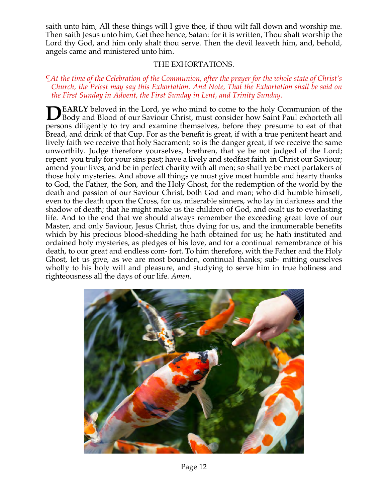saith unto him, All these things will I give thee, if thou wilt fall down and worship me. Then saith Jesus unto him, Get thee hence, Satan: for it is written, Thou shalt worship the Lord thy God, and him only shalt thou serve. Then the devil leaveth him, and, behold, angels came and ministered unto him.

#### THE EXHORTATIONS.

#### ¶*At the time of the Celebration of the Communion, after the prayer for the whole state of Christ's Church, the Priest may say this Exhortation. And Note, That the Exhortation shall be said on the First Sunday in Advent, the First Sunday in Lent, and Trinity Sunday*.

**EARLY** beloved in the Lord, ye who mind to come to the holy Communion of the Body and Blood of our Saviour Christ, must consider how Saint Paul exhorteth all persons diligently to try and examine themselves, before they presume to eat of that Bread, and drink of that Cup. For as the benefit is great, if with a true penitent heart and lively faith we receive that holy Sacrament; so is the danger great, if we receive the same unworthily. Judge therefore yourselves, brethren, that ye be not judged of the Lord; repent you truly for your sins past; have a lively and stedfast faith in Christ our Saviour; amend your lives, and be in perfect charity with all men; so shall ye be meet partakers of those holy mysteries. And above all things ye must give most humble and hearty thanks to God, the Father, the Son, and the Holy Ghost, for the redemption of the world by the death and passion of our Saviour Christ, both God and man; who did humble himself, even to the death upon the Cross, for us, miserable sinners, who lay in darkness and the shadow of death; that he might make us the children of God, and exalt us to everlasting life. And to the end that we should always remember the exceeding great love of our Master, and only Saviour, Jesus Christ, thus dying for us, and the innumerable benefits which by his precious blood-shedding he hath obtained for us; he hath instituted and ordained holy mysteries, as pledges of his love, and for a continual remembrance of his death, to our great and endless com- fort. To him therefore, with the Father and the Holy Ghost, let us give, as we are most bounden, continual thanks; sub- mitting ourselves wholly to his holy will and pleasure, and studying to serve him in true holiness and righteousness all the days of our life. *Amen*. **D**

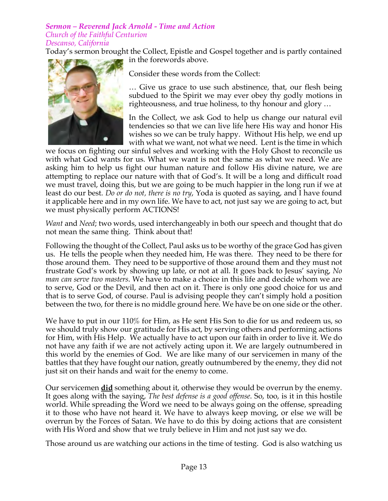#### *Sermon – Reverend Jack Arnold - Time and Action Church of the Faithful Centurion Descanso, California*

Today's sermon brought the Collect, Epistle and Gospel together and is partly contained in the forewords above.



Consider these words from the Collect:

… Give us grace to use such abstinence, that, our flesh being subdued to the Spirit we may ever obey thy godly motions in righteousness, and true holiness, to thy honour and glory …

In the Collect, we ask God to help us change our natural evil tendencies so that we can live life here His way and honor His wishes so we can be truly happy. Without His help, we end up with what we want, not what we need. Lent is the time in which

we focus on fighting our sinful selves and working with the Holy Ghost to reconcile us with what God wants for us. What we want is not the same as what we need. We are asking him to help us fight our human nature and follow His divine nature, we are attempting to replace our nature with that of God's. It will be a long and difficult road we must travel, doing this, but we are going to be much happier in the long run if we at least do our best. *Do or do not, there is no try*, Yoda is quoted as saying, and I have found it applicable here and in my own life. We have to act, not just say we are going to act, but we must physically perform ACTIONS!

*Want* and *Need*; two words, used interchangeably in both our speech and thought that do not mean the same thing. Think about that!

Following the thought of the Collect, Paul asks us to be worthy of the grace God has given us. He tells the people when they needed him, He was there. They need to be there for those around them. They need to be supportive of those around them and they must not frustrate God's work by showing up late, or not at all. It goes back to Jesus' saying, *No man can serve two masters*. We have to make a choice in this life and decide whom we are to serve, God or the Devil, and then act on it. There is only one good choice for us and that is to serve God, of course. Paul is advising people they can't simply hold a position between the two, for there is no middle ground here. We have be on one side or the other.

We have to put in our 110% for Him, as He sent His Son to die for us and redeem us, so we should truly show our gratitude for His act, by serving others and performing actions for Him, with His Help. We actually have to act upon our faith in order to live it. We do not have any faith if we are not actively acting upon it. We are largely outnumbered in this world by the enemies of God. We are like many of our servicemen in many of the battles that they have fought our nation, greatly outnumbered by the enemy, they did not just sit on their hands and wait for the enemy to come.

Our servicemen **did** something about it, otherwise they would be overrun by the enemy. It goes along with the saying, *The best defense is a good offense*. So, too, is it in this hostile world. While spreading the Word we need to be always going on the offense, spreading it to those who have not heard it. We have to always keep moving, or else we will be overrun by the Forces of Satan. We have to do this by doing actions that are consistent with His Word and show that we truly believe in Him and not just say we do.

Those around us are watching our actions in the time of testing. God is also watching us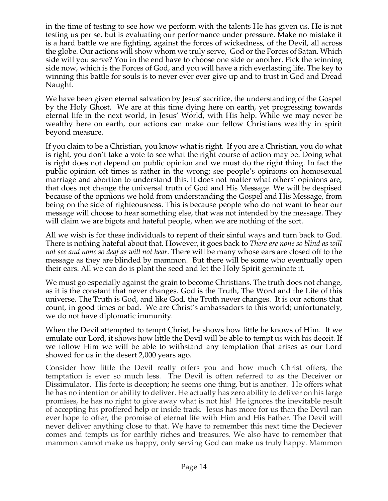in the time of testing to see how we perform with the talents He has given us. He is not testing us per se, but is evaluating our performance under pressure. Make no mistake it is a hard battle we are fighting, against the forces of wickedness, of the Devil, all across the globe. Our actions will show whom we truly serve, God or the Forces of Satan. Which side will you serve? You in the end have to choose one side or another. Pick the winning side now, which is the Forces of God, and you will have a rich everlasting life. The key to winning this battle for souls is to never ever ever give up and to trust in God and Dread Naught.

We have been given eternal salvation by Jesus' sacrifice, the understanding of the Gospel by the Holy Ghost. We are at this time dying here on earth, yet progressing towards eternal life in the next world, in Jesus' World, with His help. While we may never be wealthy here on earth, our actions can make our fellow Christians wealthy in spirit beyond measure.

If you claim to be a Christian, you know what is right. If you are a Christian, you do what is right, you don't take a vote to see what the right course of action may be. Doing what is right does not depend on public opinion and we must do the right thing. In fact the public opinion oft times is rather in the wrong; see people's opinions on homosexual marriage and abortion to understand this. It does not matter what others' opinions are, that does not change the universal truth of God and His Message. We will be despised because of the opinions we hold from understanding the Gospel and His Message, from being on the side of righteousness. This is because people who do not want to hear our message will choose to hear something else, that was not intended by the message. They will claim we are bigots and hateful people, when we are nothing of the sort.

All we wish is for these individuals to repent of their sinful ways and turn back to God. There is nothing hateful about that. However, it goes back to *There are none so blind as will not see and none so deaf as will not hear*. There will be many whose ears are closed off to the message as they are blinded by mammon. But there will be some who eventually open their ears. All we can do is plant the seed and let the Holy Spirit germinate it.

We must go especially against the grain to become Christians. The truth does not change, as it is the constant that never changes. God is the Truth, The Word and the Life of this universe. The Truth is God, and like God, the Truth never changes. It is our actions that count, in good times or bad. We are Christ's ambassadors to this world; unfortunately, we do not have diplomatic immunity.

When the Devil attempted to tempt Christ, he shows how little he knows of Him. If we emulate our Lord, it shows how little the Devil will be able to tempt us with his deceit. If we follow Him we will be able to withstand any temptation that arises as our Lord showed for us in the desert 2,000 years ago.

Consider how little the Devil really offers you and how much Christ offers, the temptation is ever so much less. The Devil is often referred to as the Deceiver or Dissimulator. His forte is deception; he seems one thing, but is another. He offers what he has no intention or ability to deliver. He actually has zero ability to deliver on his large promises, he has no right to give away what is not his! He ignores the inevitable result of accepting his proffered help or inside track. Jesus has more for us than the Devil can ever hope to offer, the promise of eternal life with Him and His Father. The Devil will never deliver anything close to that. We have to remember this next time the Deciever comes and tempts us for earthly riches and treasures. We also have to remember that mammon cannot make us happy, only serving God can make us truly happy. Mammon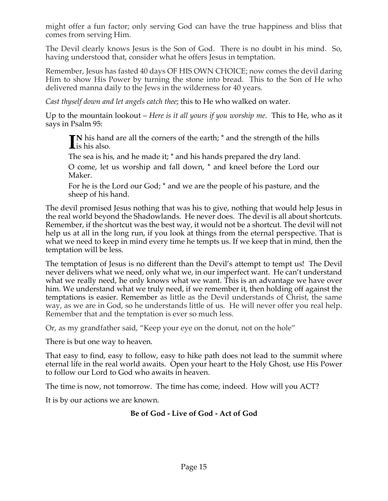might offer a fun factor; only serving God can have the true happiness and bliss that comes from serving Him.

The Devil clearly knows Jesus is the Son of God. There is no doubt in his mind. So, having understood that, consider what he offers Jesus in temptation.

Remember, Jesus has fasted 40 days OF HIS OWN CHOICE; now comes the devil daring Him to show His Power by turning the stone into bread. This to the Son of He who delivered manna daily to the Jews in the wilderness for 40 years.

*Cast thyself down and let angels catch thee*; this to He who walked on water.

Up to the mountain lookout – *Here is it all yours if you worship me*. This to He, who as it says in Psalm 95:

**N** his hand are all the corners of the earth; \* and the strength of the hills IN his hand<br>is his also.

The sea is his, and he made it; \* and his hands prepared the dry land.

O come, let us worship and fall down, \* and kneel before the Lord our Maker.

For he is the Lord our God; \* and we are the people of his pasture, and the sheep of his hand.

The devil promised Jesus nothing that was his to give, nothing that would help Jesus in the real world beyond the Shadowlands. He never does. The devil is all about shortcuts. Remember, if the shortcut was the best way, it would not be a shortcut. The devil will not help us at all in the long run, if you look at things from the eternal perspective. That is what we need to keep in mind every time he tempts us. If we keep that in mind, then the temptation will be less.

The temptation of Jesus is no different than the Devil's attempt to tempt us! The Devil never delivers what we need, only what we, in our imperfect want. He can't understand what we really need, he only knows what we want. This is an advantage we have over him. We understand what we truly need, if we remember it, then holding off against the temptations is easier. Remember as little as the Devil understands of Christ, the same way, as we are in God, so he understands little of us. He will never offer you real help. Remember that and the temptation is ever so much less.

Or, as my grandfather said, "Keep your eye on the donut, not on the hole"

There is but one way to heaven.

That easy to find, easy to follow, easy to hike path does not lead to the summit where eternal life in the real world awaits. Open your heart to the Holy Ghost, use His Power to follow our Lord to God who awaits in heaven.

The time is now, not tomorrow. The time has come, indeed. How will you ACT?

It is by our actions we are known.

#### **Be of God - Live of God - Act of God**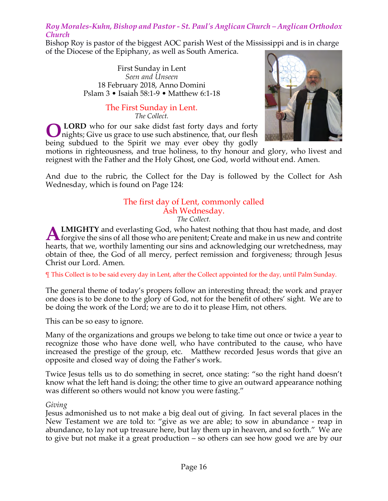#### *Roy Morales-Kuhn, Bishop and Pastor - St. Paul's Anglican Church – Anglican Orthodox Church*

Bishop Roy is pastor of the biggest AOC parish West of the Mississippi and is in charge of the Diocese of the Epiphany, as well as South America.

> First Sunday in Lent *Seen and Unseen* 18 February 2018, Anno Domini Pslam 3 • Isaiah 58:1-9 • Matthew 6:1-18

> > The First Sunday in Lent. *The Collect.*

**LORD** who for our sake didst fast forty days and forty **O** LORD who for our sake didst fast forty days and forty nights; Give us grace to use such abstinence, that, our flesh being subdued to the Spirit we may ever obey thy godly



motions in righteousness, and true holiness, to thy honour and glory, who livest and reignest with the Father and the Holy Ghost, one God, world without end. Amen.

And due to the rubric, the Collect for the Day is followed by the Collect for Ash Wednesday, which is found on Page 124:

### The first day of Lent, commonly called Ash Wednesday.

*The Collect.*

**LMIGHTY** and everlasting God, who hatest nothing that thou hast made, and dost **ALMIGHTY** and everlasting God, who hatest nothing that thou hast made, and dost forgive the sins of all those who are penitent; Create and make in us new and contrite the sins of all those who are penitent; Create and mak hearts, that we, worthily lamenting our sins and acknowledging our wretchedness, may obtain of thee, the God of all mercy, perfect remission and forgiveness; through Jesus Christ our Lord. Amen.

¶ This Collect is to be said every day in Lent, after the Collect appointed for the day, until Palm Sunday.

The general theme of today's propers follow an interesting thread; the work and prayer one does is to be done to the glory of God, not for the benefit of others' sight. We are to be doing the work of the Lord; we are to do it to please Him, not others.

This can be so easy to ignore.

Many of the organizations and groups we belong to take time out once or twice a year to recognize those who have done well, who have contributed to the cause, who have increased the prestige of the group, etc. Matthew recorded Jesus words that give an opposite and closed way of doing the Father's work.

Twice Jesus tells us to do something in secret, once stating: "so the right hand doesn't know what the left hand is doing; the other time to give an outward appearance nothing was different so others would not know you were fasting."

#### *Giving*

Jesus admonished us to not make a big deal out of giving. In fact several places in the New Testament we are told to: "give as we are able; to sow in abundance - reap in abundance, to lay not up treasure here, but lay them up in heaven, and so forth." We are to give but not make it a great production – so others can see how good we are by our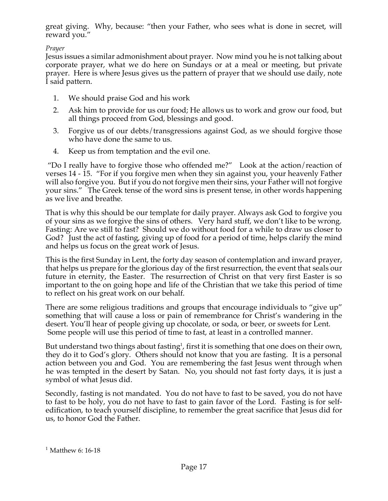great giving. Why, because: "then your Father, who sees what is done in secret, will reward you."

*Prayer*

Jesus issues a similar admonishment about prayer. Now mind you he is not talking about corporate prayer, what we do here on Sundays or at a meal or meeting, but private prayer. Here is where Jesus gives us the pattern of prayer that we should use daily, note I said pattern.

- 1. We should praise God and his work
- 2. Ask him to provide for us our food; He allows us to work and grow our food, but all things proceed from God, blessings and good.
- 3. Forgive us of our debts/transgressions against God, as we should forgive those who have done the same to us.
- 4. Keep us from temptation and the evil one.

"Do I really have to forgive those who offended me?" Look at the action/reaction of verses 14 - 15. "For if you forgive men when they sin against you, your heavenly Father will also forgive you. But if you do not forgive men their sins, your Father will not forgive your sins." The Greek tense of the word sins is present tense, in other words happening as we live and breathe.

That is why this should be our template for daily prayer. Always ask God to forgive you of your sins as we forgive the sins of others. Very hard stuff, we don't like to be wrong. Fasting: Are we still to fast? Should we do without food for a while to draw us closer to God? Just the act of fasting, giving up of food for a period of time, helps clarify the mind and helps us focus on the great work of Jesus.

This is the first Sunday in Lent, the forty day season of contemplation and inward prayer, that helps us prepare for the glorious day of the first resurrection, the event that seals our future in eternity, the Easter. The resurrection of Christ on that very first Easter is so important to the on going hope and life of the Christian that we take this period of time to reflect on his great work on our behalf.

There are some religious traditions and groups that encourage individuals to "give up" something that will cause a loss or pain of remembrance for Christ's wandering in the desert. You'll hear of people giving up chocolate, or soda, or beer, or sweets for Lent. Some people will use this period of time to fast, at least in a controlled manner.

But understand two things about fasting<sup>1</sup>, first it is something that one does on their own, they do it to God's glory. Others should not know that you are fasting. It is a personal action between you and God. You are remembering the fast Jesus went through when he was tempted in the desert by Satan. No, you should not fast forty days, it is just a symbol of what Jesus did.

Secondly, fasting is not mandated. You do not have to fast to be saved, you do not have to fast to be holy, you do not have to fast to gain favor of the Lord. Fasting is for selfedification, to teach yourself discipline, to remember the great sacrifice that Jesus did for us, to honor God the Father.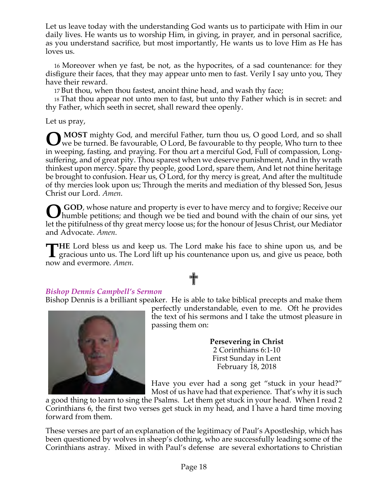Let us leave today with the understanding God wants us to participate with Him in our daily lives. He wants us to worship Him, in giving, in prayer, and in personal sacrifice, as you understand sacrifice, but most importantly, He wants us to love Him as He has loves us.

16 Moreover when ye fast, be not, as the hypocrites, of a sad countenance: for they disfigure their faces, that they may appear unto men to fast. Verily I say unto you, They have their reward.

17 But thou, when thou fastest, anoint thine head, and wash thy face;

18 That thou appear not unto men to fast, but unto thy Father which is in secret: and thy Father, which seeth in secret, shall reward thee openly.

Let us pray,

**MOST** mighty God, and merciful Father, turn thou us, O good Lord, and so shall we be turned. Be favourable, O Lord, Be favourable to thy people, Who turn to thee in weeping, fasting, and praying. For thou art a merciful God, Full of compassion, Longsuffering, and of great pity. Thou sparest when we deserve punishment, And in thy wrath thinkest upon mercy. Spare thy people, good Lord, spare them, And let not thine heritage be brought to confusion. Hear us, O Lord, for thy mercy is great, And after the multitude of thy mercies look upon us; Through the merits and mediation of thy blessed Son, Jesus Christ our Lord. *Amen*. **O**

**GOD**, whose nature and property is ever to have mercy and to forgive; Receive our **O** GOD, whose nature and property is ever to have mercy and to forgive; Receive our humble petitions; and though we be tied and bound with the chain of our sins, yet let the pitifulness of thy great mercy loose us; for the honour of Jesus Christ, our Mediator and Advocate. *Amen*.

**HE** Lord bless us and keep us. The Lord make his face to shine upon us, and be gracious unto us. The Lord lift up his countenance upon us, and give us peace, both  $\blacktriangle$  gracious unto us. The Lord lift up his countenance upon us, and give us peace, both now and evermore. *Amen*.

#### *Bishop Dennis Campbell's Sermon*

Bishop Dennis is a brilliant speaker. He is able to take biblical precepts and make them

✟



perfectly understandable, even to me. Oft he provides the text of his sermons and I take the utmost pleasure in passing them on:

> **Persevering in Christ** 2 Corinthians 6:1-10 First Sunday in Lent February 18, 2018

Have you ever had a song get "stuck in your head?" Most of us have had that experience. That's why it is such

a good thing to learn to sing the Psalms. Let them get stuck in your head. When I read 2 Corinthians 6, the first two verses get stuck in my head, and I have a hard time moving forward from them.

These verses are part of an explanation of the legitimacy of Paul's Apostleship, which has been questioned by wolves in sheep's clothing, who are successfully leading some of the Corinthians astray. Mixed in with Paul's defense are several exhortations to Christian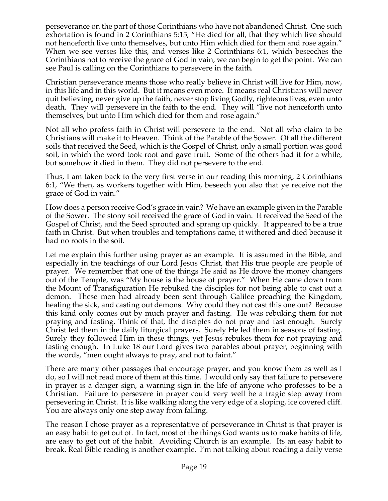perseverance on the part of those Corinthians who have not abandoned Christ. One such exhortation is found in 2 Corinthians 5:15, "He died for all, that they which live should not henceforth live unto themselves, but unto Him which died for them and rose again." When we see verses like this, and verses like 2 Corinthians 6:1, which beseeches the Corinthians not to receive the grace of God in vain, we can begin to get the point. We can see Paul is calling on the Corinthians to persevere in the faith.

Christian perseverance means those who really believe in Christ will live for Him, now, in this life and in this world. But it means even more. It means real Christians will never quit believing, never give up the faith, never stop living Godly, righteous lives, even unto death. They will persevere in the faith to the end. They will "live not henceforth unto themselves, but unto Him which died for them and rose again."

Not all who profess faith in Christ will persevere to the end. Not all who claim to be Christians will make it to Heaven. Think of the Parable of the Sower. Of all the different soils that received the Seed, which is the Gospel of Christ, only a small portion was good soil, in which the word took root and gave fruit. Some of the others had it for a while, but somehow it died in them. They did not persevere to the end.

Thus, I am taken back to the very first verse in our reading this morning, 2 Corinthians 6:1, "We then, as workers together with Him, beseech you also that ye receive not the grace of God in vain."

How does a person receive God's grace in vain? We have an example given in the Parable of the Sower. The stony soil received the grace of God in vain. It received the Seed of the Gospel of Christ, and the Seed sprouted and sprang up quickly. It appeared to be a true faith in Christ. But when troubles and temptations came, it withered and died because it had no roots in the soil.

Let me explain this further using prayer as an example. It is assumed in the Bible, and especially in the teachings of our Lord Jesus Christ, that His true people are people of prayer. We remember that one of the things He said as He drove the money changers out of the Temple, was "My house is the house of prayer." When He came down from the Mount of Transfiguration He rebuked the disciples for not being able to cast out a demon. These men had already been sent through Galilee preaching the Kingdom, healing the sick, and casting out demons. Why could they not cast this one out? Because this kind only comes out by much prayer and fasting. He was rebuking them for not praying and fasting. Think of that, the disciples do not pray and fast enough. Surely Christ led them in the daily liturgical prayers. Surely He led them in seasons of fasting. Surely they followed Him in these things, yet Jesus rebukes them for not praying and fasting enough. In Luke 18 our Lord gives two parables about prayer, beginning with the words, "men ought always to pray, and not to faint."

There are many other passages that encourage prayer, and you know them as well as I do, so I will not read more of them at this time. I would only say that failure to persevere in prayer is a danger sign, a warning sign in the life of anyone who professes to be a Christian. Failure to persevere in prayer could very well be a tragic step away from persevering in Christ. It is like walking along the very edge of a sloping, ice covered cliff. You are always only one step away from falling.

The reason I chose prayer as a representative of perseverance in Christ is that prayer is an easy habit to get out of. In fact, most of the things God wants us to make habits of life, are easy to get out of the habit. Avoiding Church is an example. Its an easy habit to break. Real Bible reading is another example. I'm not talking about reading a daily verse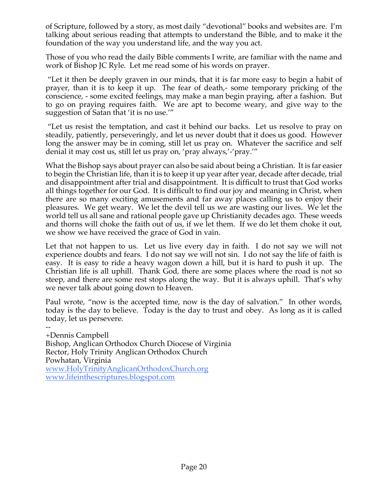of Scripture, followed by a story, as most daily "devotional" books and websites are. I'm talking about serious reading that attempts to understand the Bible, and to make it the foundation of the way you understand life, and the way you act.

Those of you who read the daily Bible comments I write, are familiar with the name and work of Bishop JC Ryle. Let me read some of his words on prayer.

"Let it then be deeply graven in our minds, that it is far more easy to begin a habit of prayer, than it is to keep it up. The fear of death,- some temporary pricking of the conscience, - some excited feelings, may make a man begin praying, after a fashion. But to go on praying requires faith. We are apt to become weary, and give way to the suggestion of Satan that 'it is no use.'"

"Let us resist the temptation, and cast it behind our backs. Let us resolve to pray on steadily, patiently, perseveringly, and let us never doubt that it does us good. However long the answer may be in coming, still let us pray on. Whatever the sacrifice and self denial it may cost us, still let us pray on, 'pray always,'-'pray.'"

What the Bishop says about prayer can also be said about being a Christian. It is far easier to begin the Christian life, than it is to keep it up year after year, decade after decade, trial and disappointment after trial and disappointment. It is difficult to trust that God works all things together for our God. It is difficult to find our joy and meaning in Christ, when there are so many exciting amusements and far away places calling us to enjoy their pleasures. We get weary. We let the devil tell us we are wasting our lives. We let the world tell us all sane and rational people gave up Christianity decades ago. These weeds and thorns will choke the faith out of us, if we let them. If we do let them choke it out, we show we have received the grace of God in vain.

Let that not happen to us. Let us live every day in faith. I do not say we will not experience doubts and fears. I do not say we will not sin. I do not say the life of faith is easy. It is easy to ride a heavy wagon down a hill, but it is hard to push it up. The Christian life is all uphill. Thank God, there are some places where the road is not so steep, and there are some rest stops along the way. But it is always uphill. That's why we never talk about going down to Heaven.

Paul wrote, "now is the accepted time, now is the day of salvation." In other words, today is the day to believe. Today is the day to trust and obey. As long as it is called today, let us persevere.

-- +Dennis Campbell Bishop, Anglican Orthodox Church Diocese of Virginia Rector, Holy Trinity Anglican Orthodox Church Powhatan, Virginia www.HolyTrinityAnglicanOrthodoxChurch.org www.lifeinthescriptures.blogspot.com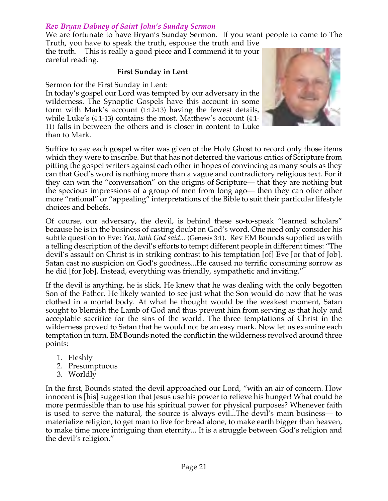#### *Rev Bryan Dabney of Saint John's Sunday Sermon*

We are fortunate to have Bryan's Sunday Sermon. If you want people to come to The Truth, you have to speak the truth, espouse the truth and live

the truth. This is really a good piece and I commend it to your careful reading.

#### **First Sunday in Lent**

Sermon for the First Sunday in Lent:

In today's gospel our Lord was tempted by our adversary in the wilderness. The Synoptic Gospels have this account in some form with Mark's account (1:12-13) having the fewest details, while Luke's (4:1-13) contains the most. Matthew's account (4:1- 11) falls in between the others and is closer in content to Luke than to Mark.



Suffice to say each gospel writer was given of the Holy Ghost to record only those items which they were to inscribe. But that has not deterred the various critics of Scripture from pitting the gospel writers against each other in hopes of convincing as many souls as they can that God's word is nothing more than a vague and contradictory religious text. For if they can win the "conversation" on the origins of Scripture— that they are nothing but the specious impressions of a group of men from long ago— then they can offer other more "rational" or "appealing" interpretations of the Bible to suit their particular lifestyle choices and beliefs.

Of course, our adversary, the devil, is behind these so-to-speak "learned scholars" because he is in the business of casting doubt on God's word. One need only consider his subtle question to Eve: *Yea, hath God said*... (Genesis 3:1). Rev EM Bounds supplied us with a telling description of the devil's efforts to tempt different people in different times: "The devil's assault on Christ is in striking contrast to his temptation [of] Eve [or that of Job]. Satan cast no suspicion on God's goodness...He caused no terrific consuming sorrow as he did [for Job]. Instead, everything was friendly, sympathetic and inviting."

If the devil is anything, he is slick. He knew that he was dealing with the only begotten Son of the Father. He likely wanted to see just what the Son would do now that he was clothed in a mortal body. At what he thought would be the weakest moment, Satan sought to blemish the Lamb of God and thus prevent him from serving as that holy and acceptable sacrifice for the sins of the world. The three temptations of Christ in the wilderness proved to Satan that he would not be an easy mark. Now let us examine each temptation in turn. EM Bounds noted the conflict in the wilderness revolved around three points:

- 1. Fleshly
- 2. Presumptuous
- 3. Worldly

In the first, Bounds stated the devil approached our Lord, "with an air of concern. How innocent is [his] suggestion that Jesus use his power to relieve his hunger! What could be more permissible than to use his spiritual power for physical purposes? Whenever faith is used to serve the natural, the source is always evil...The devil's main business— to materialize religion, to get man to live for bread alone, to make earth bigger than heaven, to make time more intriguing than eternity... It is a struggle between God's religion and the devil's religion."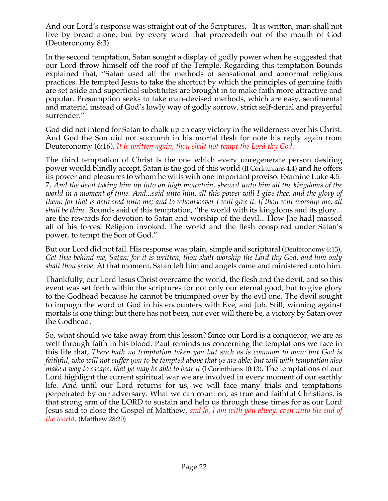And our Lord's response was straight out of the Scriptures. It is written, man shall not live by bread alone, but by every word that proceedeth out of the mouth of God (Deuteronomy 8:3).

In the second temptation, Satan sought a display of godly power when he suggested that our Lord throw himself off the roof of the Temple. Regarding this temptation Bounds explained that, "Satan used all the methods of sensational and abnormal religious practices. He tempted Jesus to take the shortcut by which the principles of genuine faith are set aside and superficial substitutes are brought in to make faith more attractive and popular. Presumption seeks to take man-devised methods, which are easy, sentimental and material instead of God's lowly way of godly sorrow, strict self-denial and prayerful surrender."

God did not intend for Satan to chalk up an easy victory in the wilderness over his Christ. And God the Son did not succumb in his mortal flesh for note his reply again from Deuteronomy (6:16), *It is written again, thou shalt not tempt the Lord thy God*.

The third temptation of Christ is the one which every unregenerate person desiring power would blindly accept. Satan is the god of this world (II Corinthians 4:4) and he offers its power and pleasures to whom he wills with one important proviso. Examine Luke 4:5- 7, *And the devil taking him up into an high mountain, shewed unto him all the kingdoms of the world in a moment of time. And...said unto him, all this power will I give thee, and the glory of them: for that is delivered unto me; and to whomsoever I will give it. If thou wilt worship me, all shall be thine*. Bounds said of this temptation, "the world with its kingdoms and its glory... are the rewards for devotion to Satan and worship of the devil... How [he had] massed all of his forces! Religion invoked. The world and the flesh conspired under Satan's power, to tempt the Son of God."

But our Lord did not fail. His response was plain, simple and scriptural (Deuteronomy 6:13), *Get thee behind me, Satan: for it is written, thou shalt worship the Lord thy God, and him only shalt thou serve*. At that moment, Satan left him and angels came and ministered unto him.

Thankfully, our Lord Jesus Christ overcame the world, the flesh and the devil, and so this event was set forth within the scriptures for not only our eternal good, but to give glory to the Godhead because he cannot be triumphed over by the evil one. The devil sought to impugn the word of God in his encounters with Eve, and Job. Still, winning against mortals is one thing; but there has not been, nor ever will there be, a victory by Satan over the Godhead.

So, what should we take away from this lesson? Since our Lord is a conqueror, we are as well through faith in his blood. Paul reminds us concerning the temptations we face in this life that, *There hath no temptation taken you but such as is common to man: but God is faithful, who will not suffer you to be tempted above that ye are able; but will with temptation also make a way to escape, that ye may be able to bear it* (I Corinthians 10:13). The temptations of our Lord highlight the current spiritual war we are involved in every moment of our earthly life. And until our Lord returns for us, we will face many trials and temptations perpetrated by our adversary. What we can count on, as true and faithful Christians, is that strong arm of the LORD to sustain and help us through those times for as our Lord Jesus said to close the Gospel of Matthew, *and lo, I am with you alway, even unto the end of the world*. (Matthew 28:20)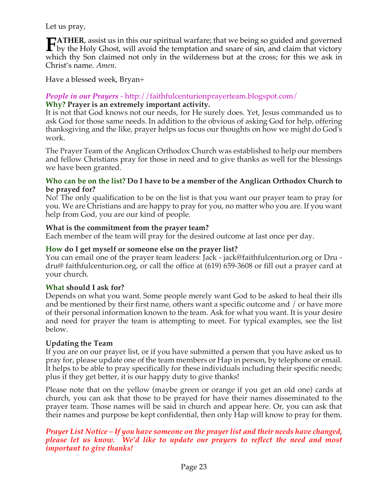Let us pray,

**ATHER**, assist us in this our spiritual warfare; that we being so guided and governed **FATHER**, assist us in this our spiritual warfare; that we being so guided and governed<br>by the Holy Ghost, will avoid the temptation and snare of sin, and claim that victory which thy Son claimed not only in the wilderness but at the cross; for this we ask in Christ's name. *Amen*.

Have a blessed week, Bryan+

#### *People in our Prayers* - http://faithfulcenturionprayerteam.blogspot.com/ **Why? Prayer is an extremely important activity.**

It is not that God knows not our needs, for He surely does. Yet, Jesus commanded us to ask God for those same needs. In addition to the obvious of asking God for help, offering thanksgiving and the like, prayer helps us focus our thoughts on how we might do God's work.

The Prayer Team of the Anglican Orthodox Church was established to help our members and fellow Christians pray for those in need and to give thanks as well for the blessings we have been granted.

#### **Who can be on the list? Do I have to be a member of the Anglican Orthodox Church to be prayed for?**

No! The only qualification to be on the list is that you want our prayer team to pray for you. We are Christians and are happy to pray for you, no matter who you are. If you want help from God, you are our kind of people.

#### **What is the commitment from the prayer team?**

Each member of the team will pray for the desired outcome at last once per day.

#### **How do I get myself or someone else on the prayer list?**

You can email one of the prayer team leaders: Jack - jack@faithfulcenturion.org or Dru dru@ faithfulcenturion.org, or call the office at (619) 659-3608 or fill out a prayer card at your church.

#### **What should I ask for?**

Depends on what you want. Some people merely want God to be asked to heal their ills and be mentioned by their first name, others want a specific outcome and / or have more of their personal information known to the team. Ask for what you want. It is your desire and need for prayer the team is attempting to meet. For typical examples, see the list below.

#### **Updating the Team**

If you are on our prayer list, or if you have submitted a person that you have asked us to pray for, please update one of the team members or Hap in person, by telephone or email. It helps to be able to pray specifically for these individuals including their specific needs; plus if they get better, it is our happy duty to give thanks!

Please note that on the yellow (maybe green or orange if you get an old one) cards at church, you can ask that those to be prayed for have their names disseminated to the prayer team. Those names will be said in church and appear here. Or, you can ask that their names and purpose be kept confidential, then only Hap will know to pray for them.

#### *Prayer List Notice – If you have someone on the prayer list and their needs have changed, please let us know. We'd like to update our prayers to reflect the need and most important to give thanks!*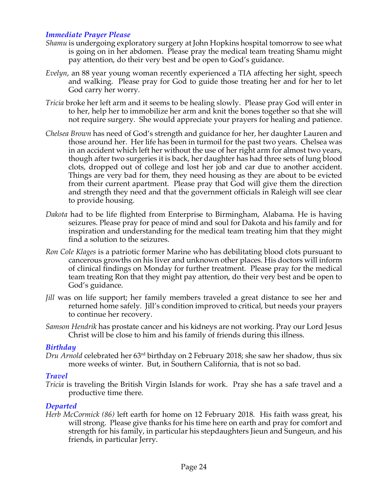#### *Immediate Prayer Please*

- *Shamu* is undergoing exploratory surgery at John Hopkins hospital tomorrow to see what is going on in her abdomen. Please pray the medical team treating Shamu might pay attention, do their very best and be open to God's guidance.
- *Evelyn*, an 88 year young woman recently experienced a TIA affecting her sight, speech and walking. Please pray for God to guide those treating her and for her to let God carry her worry.
- *Tricia* broke her left arm and it seems to be healing slowly. Please pray God will enter in to her, help her to immobilize her arm and knit the bones together so that she will not require surgery. She would appreciate your prayers for healing and patience.
- *Chelsea Brown* has need of God's strength and guidance for her, her daughter Lauren and those around her. Her life has been in turmoil for the past two years. Chelsea was in an accident which left her without the use of her right arm for almost two years, though after two surgeries it is back, her daughter has had three sets of lung blood clots, dropped out of college and lost her job and car due to another accident. Things are very bad for them, they need housing as they are about to be evicted from their current apartment. Please pray that God will give them the direction and strength they need and that the government officials in Raleigh will see clear to provide housing.
- *Dakota* had to be life flighted from Enterprise to Birmingham, Alabama. He is having seizures. Please pray for peace of mind and soul for Dakota and his family and for inspiration and understanding for the medical team treating him that they might find a solution to the seizures.
- *Ron Cole Klages* is a patriotic former Marine who has debilitating blood clots pursuant to cancerous growths on his liver and unknown other places. His doctors will inform of clinical findings on Monday for further treatment. Please pray for the medical team treating Ron that they might pay attention, do their very best and be open to God's guidance.
- *Jill* was on life support; her family members traveled a great distance to see her and returned home safely. Jill's condition improved to critical, but needs your prayers to continue her recovery.
- *Samson Hendrik* has prostate cancer and his kidneys are not working. Pray our Lord Jesus Christ will be close to him and his family of friends during this illness.

#### *Birthday*

*Dru Arnold* celebrated her 63rd birthday on 2 February 2018; she saw her shadow, thus six more weeks of winter. But, in Southern California, that is not so bad.

#### *Travel*

*Tricia* is traveling the British Virgin Islands for work. Pray she has a safe travel and a productive time there.

#### *Departed*

*Herb McCormick (86)* left earth for home on 12 February 2018. His faith wass great, his will strong. Please give thanks for his time here on earth and pray for comfort and strength for his family, in particular his stepdaughters Jieun and Sungeun, and his friends, in particular Jerry.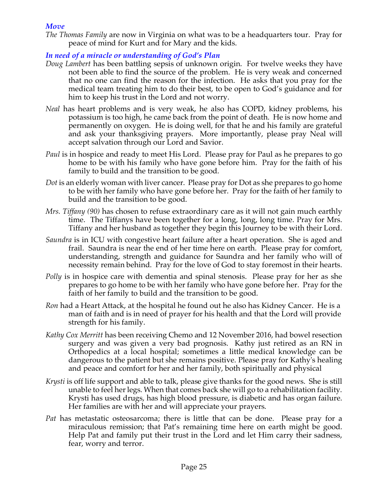#### *Move*

*The Thomas Family* are now in Virginia on what was to be a headquarters tour. Pray for peace of mind for Kurt and for Mary and the kids.

#### *In need of a miracle or understanding of God's Plan*

- *Doug Lambert* has been battling sepsis of unknown origin. For twelve weeks they have not been able to find the source of the problem. He is very weak and concerned that no one can find the reason for the infection. He asks that you pray for the medical team treating him to do their best, to be open to God's guidance and for him to keep his trust in the Lord and not worry.
- *Neal* has heart problems and is very weak, he also has COPD, kidney problems, his potassium is too high, he came back from the point of death. He is now home and permanently on oxygen. He is doing well, for that he and his family are grateful and ask your thanksgiving prayers. More importantly, please pray Neal will accept salvation through our Lord and Savior.
- *Paul* is in hospice and ready to meet His Lord. Please pray for Paul as he prepares to go home to be with his family who have gone before him. Pray for the faith of his family to build and the transition to be good.
- *Dot* is an elderly woman with liver cancer. Please pray for Dot as she prepares to go home to be with her family who have gone before her. Pray for the faith of her family to build and the transition to be good.
- *Mrs. Tiffany (90)* has chosen to refuse extraordinary care as it will not gain much earthly time. The Tiffanys have been together for a long, long, long time. Pray for Mrs. Tiffany and her husband as together they begin this Journey to be with their Lord.
- *Saundra* is in ICU with congestive heart failure after a heart operation. She is aged and frail. Saundra is near the end of her time here on earth. Please pray for comfort, understanding, strength and guidance for Saundra and her family who will of necessity remain behind. Pray for the love of God to stay foremost in their hearts.
- *Polly* is in hospice care with dementia and spinal stenosis. Please pray for her as she prepares to go home to be with her family who have gone before her. Pray for the faith of her family to build and the transition to be good.
- *Ron* had a Heart Attack, at the hospital he found out he also has Kidney Cancer. He is a man of faith and is in need of prayer for his health and that the Lord will provide strength for his family.
- *Kathy Cox Merritt* has been receiving Chemo and 12 November 2016, had bowel resection surgery and was given a very bad prognosis. Kathy just retired as an RN in Orthopedics at a local hospital; sometimes a little medical knowledge can be dangerous to the patient but she remains positive. Please pray for Kathy's healing and peace and comfort for her and her family, both spiritually and physical
- *Krysti* is off life support and able to talk, please give thanks for the good news. She is still unable to feel her legs. When that comes back she will go to a rehabilitation facility. Krysti has used drugs, has high blood pressure, is diabetic and has organ failure. Her families are with her and will appreciate your prayers.
- *Pat* has metastatic osteosarcoma; there is little that can be done. Please pray for a miraculous remission; that Pat's remaining time here on earth might be good. Help Pat and family put their trust in the Lord and let Him carry their sadness, fear, worry and terror.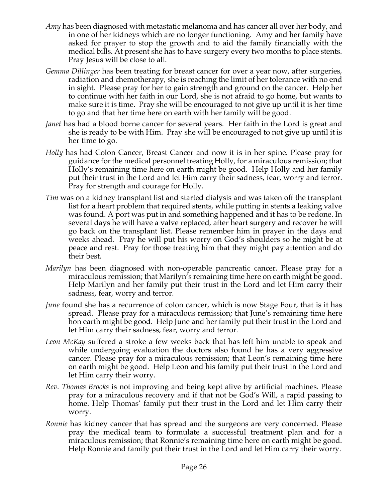- *Amy* has been diagnosed with metastatic melanoma and has cancer all over her body, and in one of her kidneys which are no longer functioning. Amy and her family have asked for prayer to stop the growth and to aid the family financially with the medical bills. At present she has to have surgery every two months to place stents. Pray Jesus will be close to all.
- *Gemma Dillinger* has been treating for breast cancer for over a year now, after surgeries, radiation and chemotherapy, she is reaching the limit of her tolerance with no end in sight. Please pray for her to gain strength and ground on the cancer. Help her to continue with her faith in our Lord, she is not afraid to go home, but wants to make sure it is time. Pray she will be encouraged to not give up until it is her time to go and that her time here on earth with her family will be good.
- *Janet* has had a blood borne cancer for several years. Her faith in the Lord is great and she is ready to be with Him. Pray she will be encouraged to not give up until it is her time to go.
- *Holly* has had Colon Cancer, Breast Cancer and now it is in her spine. Please pray for guidance for the medical personnel treating Holly, for a miraculous remission; that Holly's remaining time here on earth might be good. Help Holly and her family put their trust in the Lord and let Him carry their sadness, fear, worry and terror. Pray for strength and courage for Holly.
- *Tim* was on a kidney transplant list and started dialysis and was taken off the transplant list for a heart problem that required stents, while putting in stents a leaking valve was found. A port was put in and something happened and it has to be redone. In several days he will have a valve replaced, after heart surgery and recover he will go back on the transplant list. Please remember him in prayer in the days and weeks ahead. Pray he will put his worry on God's shoulders so he might be at peace and rest. Pray for those treating him that they might pay attention and do their best.
- *Marilyn* has been diagnosed with non-operable pancreatic cancer. Please pray for a miraculous remission; that Marilyn's remaining time here on earth might be good. Help Marilyn and her family put their trust in the Lord and let Him carry their sadness, fear, worry and terror.
- *June* found she has a recurrence of colon cancer, which is now Stage Four, that is it has spread. Please pray for a miraculous remission; that June's remaining time here hon earth might be good. Help June and her family put their trust in the Lord and let Him carry their sadness, fear, worry and terror.
- *Leon McKay* suffered a stroke a few weeks back that has left him unable to speak and while undergoing evaluation the doctors also found he has a very aggressive cancer. Please pray for a miraculous remission; that Leon's remaining time here on earth might be good. Help Leon and his family put their trust in the Lord and let Him carry their worry.
- *Rev. Thomas Brooks* is not improving and being kept alive by artificial machines. Please pray for a miraculous recovery and if that not be God's Will, a rapid passing to home. Help Thomas' family put their trust in the Lord and let Him carry their worry.
- *Ronnie* has kidney cancer that has spread and the surgeons are very concerned. Please pray the medical team to formulate a successful treatment plan and for a miraculous remission; that Ronnie's remaining time here on earth might be good. Help Ronnie and family put their trust in the Lord and let Him carry their worry.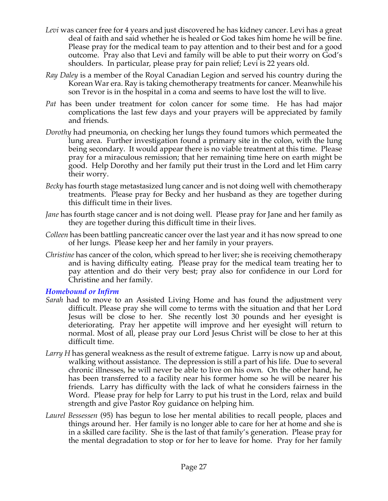- Levi was cancer free for 4 years and just discovered he has kidney cancer. Levi has a great deal of faith and said whether he is healed or God takes him home he will be fine. Please pray for the medical team to pay attention and to their best and for a good outcome. Pray also that Levi and family will be able to put their worry on God's shoulders. In particular, please pray for pain relief; Levi is 22 years old.
- *Ray Daley* is a member of the Royal Canadian Legion and served his country during the Korean War era. Ray is taking chemotherapy treatments for cancer. Meanwhile his son Trevor is in the hospital in a coma and seems to have lost the will to live.
- *Pat* has been under treatment for colon cancer for some time. He has had major complications the last few days and your prayers will be appreciated by family and friends.
- *Dorothy* had pneumonia, on checking her lungs they found tumors which permeated the lung area. Further investigation found a primary site in the colon, with the lung being secondary. It would appear there is no viable treatment at this time. Please pray for a miraculous remission; that her remaining time here on earth might be good. Help Dorothy and her family put their trust in the Lord and let Him carry their worry.
- *Becky* has fourth stage metastasized lung cancer and is not doing well with chemotherapy treatments. Please pray for Becky and her husband as they are together during this difficult time in their lives.
- *Jane* has fourth stage cancer and is not doing well. Please pray for Jane and her family as they are together during this difficult time in their lives.
- *Colleen* has been battling pancreatic cancer over the last year and it has now spread to one of her lungs. Please keep her and her family in your prayers.
- *Christine* has cancer of the colon, which spread to her liver; she is receiving chemotherapy and is having difficulty eating. Please pray for the medical team treating her to pay attention and do their very best; pray also for confidence in our Lord for Christine and her family.

#### *Homebound or Infirm*

- *Sarah* had to move to an Assisted Living Home and has found the adjustment very difficult. Please pray she will come to terms with the situation and that her Lord Jesus will be close to her. She recently lost 30 pounds and her eyesight is deteriorating. Pray her appetite will improve and her eyesight will return to normal. Most of all, please pray our Lord Jesus Christ will be close to her at this difficult time.
- *Larry H* has general weakness as the result of extreme fatigue. Larry is now up and about, walking without assistance. The depression is still a part of his life. Due to several chronic illnesses, he will never be able to live on his own. On the other hand, he has been transferred to a facility near his former home so he will be nearer his friends. Larry has difficulty with the lack of what he considers fairness in the Word. Please pray for help for Larry to put his trust in the Lord, relax and build strength and give Pastor Roy guidance on helping him.
- *Laurel Bessessen* (95) has begun to lose her mental abilities to recall people, places and things around her. Her family is no longer able to care for her at home and she is in a skilled care facility. She is the last of that family's generation. Please pray for the mental degradation to stop or for her to leave for home. Pray for her family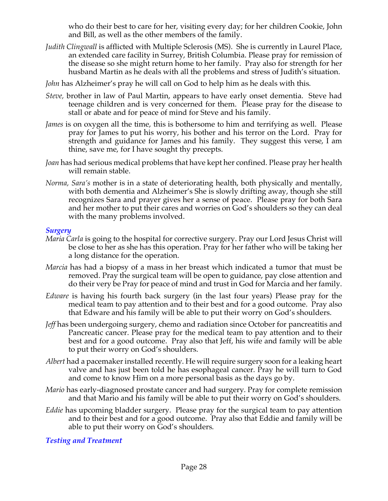who do their best to care for her, visiting every day; for her children Cookie, John and Bill, as well as the other members of the family.

- *Judith Clingwall* is afflicted with Multiple Sclerosis (MS). She is currently in Laurel Place, an extended care facility in Surrey, British Columbia. Please pray for remission of the disease so she might return home to her family. Pray also for strength for her husband Martin as he deals with all the problems and stress of Judith's situation.
- *John* has Alzheimer's pray he will call on God to help him as he deals with this.
- *Steve,* brother in law of Paul Martin, appears to have early onset dementia. Steve had teenage children and is very concerned for them. Please pray for the disease to stall or abate and for peace of mind for Steve and his family.
- *James* is on oxygen all the time, this is bothersome to him and terrifying as well. Please pray for James to put his worry, his bother and his terror on the Lord. Pray for strength and guidance for James and his family. They suggest this verse, I am thine, save me, for I have sought thy precepts.
- *Joan* has had serious medical problems that have kept her confined. Please pray her health will remain stable.
- *Norma, Sara's* mother is in a state of deteriorating health, both physically and mentally, with both dementia and Alzheimer's She is slowly drifting away, though she still recognizes Sara and prayer gives her a sense of peace. Please pray for both Sara and her mother to put their cares and worries on God's shoulders so they can deal with the many problems involved.

#### *Surgery*

- *Maria Carla* is going to the hospital for corrective surgery. Pray our Lord Jesus Christ will be close to her as she has this operation. Pray for her father who will be taking her a long distance for the operation.
- *Marcia* has had a biopsy of a mass in her breast which indicated a tumor that must be removed. Pray the surgical team will be open to guidance, pay close attention and do their very be Pray for peace of mind and trust in God for Marcia and her family.
- *Edware* is having his fourth back surgery (in the last four years) Please pray for the medical team to pay attention and to their best and for a good outcome. Pray also that Edware and his family will be able to put their worry on God's shoulders.
- *Jeff* has been undergoing surgery, chemo and radiation since October for pancreatitis and Pancreatic cancer. Please pray for the medical team to pay attention and to their best and for a good outcome. Pray also that Jeff, his wife and family will be able to put their worry on God's shoulders.
- *Albert* had a pacemaker installed recently. He will require surgery soon for a leaking heart valve and has just been told he has esophageal cancer. Pray he will turn to God and come to know Him on a more personal basis as the days go by.
- *Mario* has early-diagnosed prostate cancer and had surgery. Pray for complete remission and that Mario and his family will be able to put their worry on God's shoulders.
- *Eddie* has upcoming bladder surgery. Please pray for the surgical team to pay attention and to their best and for a good outcome. Pray also that Eddie and family will be able to put their worry on God's shoulders.

*Testing and Treatment*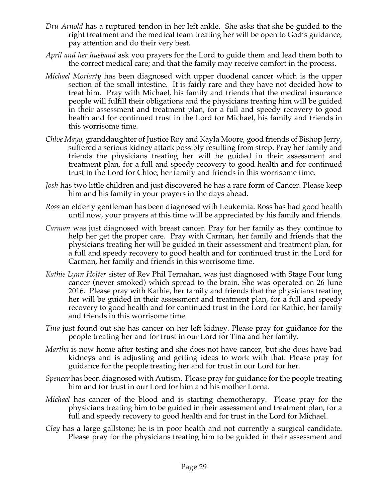- *Dru Arnold* has a ruptured tendon in her left ankle. She asks that she be guided to the right treatment and the medical team treating her will be open to God's guidance, pay attention and do their very best.
- *April and her husband* ask you prayers for the Lord to guide them and lead them both to the correct medical care; and that the family may receive comfort in the process.
- *Michael Moriarty* has been diagnosed with upper duodenal cancer which is the upper section of the small intestine. It is fairly rare and they have not decided how to treat him. Pray with Michael, his family and friends that the medical insurance people will fulfill their obligations and the physicians treating him will be guided in their assessment and treatment plan, for a full and speedy recovery to good health and for continued trust in the Lord for Michael, his family and friends in this worrisome time.
- *Chloe Mayo*, granddaughter of Justice Roy and Kayla Moore, good friends of Bishop Jerry, suffered a serious kidney attack possibly resulting from strep. Pray her family and friends the physicians treating her will be guided in their assessment and treatment plan, for a full and speedy recovery to good health and for continued trust in the Lord for Chloe, her family and friends in this worrisome time.
- *Josh* has two little children and just discovered he has a rare form of Cancer. Please keep him and his family in your prayers in the days ahead.
- *Ross* an elderly gentleman has been diagnosed with Leukemia. Ross has had good health until now, your prayers at this time will be appreciated by his family and friends.
- *Carman* was just diagnosed with breast cancer. Pray for her family as they continue to help her get the proper care. Pray with Carman, her family and friends that the physicians treating her will be guided in their assessment and treatment plan, for a full and speedy recovery to good health and for continued trust in the Lord for Carman, her family and friends in this worrisome time.
- *Kathie Lynn Holter* sister of Rev Phil Ternahan, was just diagnosed with Stage Four lung cancer (never smoked) which spread to the brain. She was operated on 26 June 2016. Please pray with Kathie, her family and friends that the physicians treating her will be guided in their assessment and treatment plan, for a full and speedy recovery to good health and for continued trust in the Lord for Kathie, her family and friends in this worrisome time.
- *Tina* just found out she has cancer on her left kidney. Please pray for guidance for the people treating her and for trust in our Lord for Tina and her family.
- *Martha* is now home after testing and she does not have cancer, but she does have bad kidneys and is adjusting and getting ideas to work with that. Please pray for guidance for the people treating her and for trust in our Lord for her.
- *Spencer* has been diagnosed with Autism. Please pray for guidance for the people treating him and for trust in our Lord for him and his mother Lorna.
- *Michael* has cancer of the blood and is starting chemotherapy. Please pray for the physicians treating him to be guided in their assessment and treatment plan, for a full and speedy recovery to good health and for trust in the Lord for Michael.
- *Clay* has a large gallstone; he is in poor health and not currently a surgical candidate. Please pray for the physicians treating him to be guided in their assessment and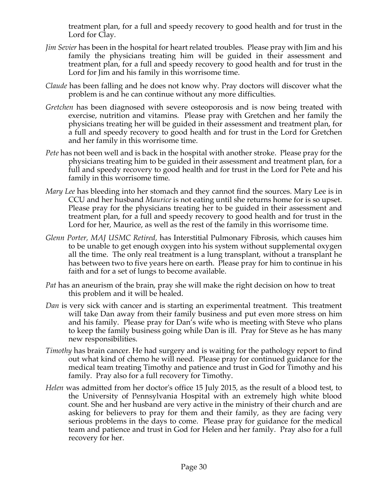treatment plan, for a full and speedy recovery to good health and for trust in the Lord for Clay.

- *Jim Sevier* has been in the hospital for heart related troubles. Please pray with Jim and his family the physicians treating him will be guided in their assessment and treatment plan, for a full and speedy recovery to good health and for trust in the Lord for Jim and his family in this worrisome time.
- *Claude* has been falling and he does not know why. Pray doctors will discover what the problem is and he can continue without any more difficulties.
- *Gretchen* has been diagnosed with severe osteoporosis and is now being treated with exercise, nutrition and vitamins. Please pray with Gretchen and her family the physicians treating her will be guided in their assessment and treatment plan, for a full and speedy recovery to good health and for trust in the Lord for Gretchen and her family in this worrisome time.
- *Pete* has not been well and is back in the hospital with another stroke. Please pray for the physicians treating him to be guided in their assessment and treatment plan, for a full and speedy recovery to good health and for trust in the Lord for Pete and his family in this worrisome time.
- *Mary Lee* has bleeding into her stomach and they cannot find the sources. Mary Lee is in CCU and her husband *Maurice* is not eating until she returns home for is so upset. Please pray for the physicians treating her to be guided in their assessment and treatment plan, for a full and speedy recovery to good health and for trust in the Lord for her, Maurice, as well as the rest of the family in this worrisome time.
- *Glenn Porter, MAJ USMC Retired,* has Interstitial Pulmonary Fibrosis, which causes him to be unable to get enough oxygen into his system without supplemental oxygen all the time. The only real treatment is a lung transplant, without a transplant he has between two to five years here on earth. Please pray for him to continue in his faith and for a set of lungs to become available.
- *Pat* has an aneurism of the brain, pray she will make the right decision on how to treat this problem and it will be healed.
- *Dan* is very sick with cancer and is starting an experimental treatment. This treatment will take Dan away from their family business and put even more stress on him and his family. Please pray for Dan's wife who is meeting with Steve who plans to keep the family business going while Dan is ill. Pray for Steve as he has many new responsibilities.
- *Timothy* has brain cancer. He had surgery and is waiting for the pathology report to find out what kind of chemo he will need. Please pray for continued guidance for the medical team treating Timothy and patience and trust in God for Timothy and his family. Pray also for a full recovery for Timothy.
- *Helen* was admitted from her doctor's office 15 July 2015, as the result of a blood test, to the University of Pennsylvania Hospital with an extremely high white blood count. She and her husband are very active in the ministry of their church and are asking for believers to pray for them and their family, as they are facing very serious problems in the days to come. Please pray for guidance for the medical team and patience and trust in God for Helen and her family. Pray also for a full recovery for her.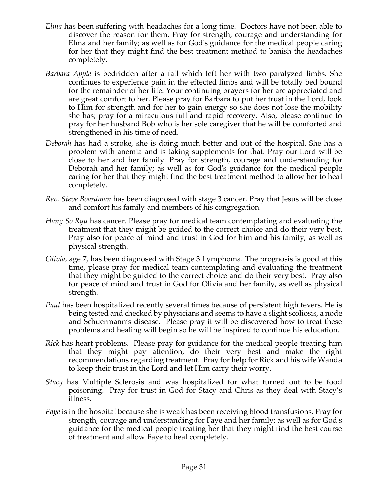- *Elma* has been suffering with headaches for a long time. Doctors have not been able to discover the reason for them. Pray for strength, courage and understanding for Elma and her family; as well as for God's guidance for the medical people caring for her that they might find the best treatment method to banish the headaches completely.
- *Barbara Apple* is bedridden after a fall which left her with two paralyzed limbs. She continues to experience pain in the effected limbs and will be totally bed bound for the remainder of her life. Your continuing prayers for her are appreciated and are great comfort to her. Please pray for Barbara to put her trust in the Lord, look to Him for strength and for her to gain energy so she does not lose the mobility she has; pray for a miraculous full and rapid recovery. Also, please continue to pray for her husband Bob who is her sole caregiver that he will be comforted and strengthened in his time of need.
- *Deborah* has had a stroke, she is doing much better and out of the hospital. She has a problem with anemia and is taking supplements for that. Pray our Lord will be close to her and her family. Pray for strength, courage and understanding for Deborah and her family; as well as for God's guidance for the medical people caring for her that they might find the best treatment method to allow her to heal completely.
- *Rev. Steve Boardman* has been diagnosed with stage 3 cancer. Pray that Jesus will be close and comfort his family and members of his congregation*.*
- *Hang So Ryu* has cancer. Please pray for medical team contemplating and evaluating the treatment that they might be guided to the correct choice and do their very best. Pray also for peace of mind and trust in God for him and his family, as well as physical strength.
- *Olivia,* age 7, has been diagnosed with Stage 3 Lymphoma. The prognosis is good at this time, please pray for medical team contemplating and evaluating the treatment that they might be guided to the correct choice and do their very best. Pray also for peace of mind and trust in God for Olivia and her family, as well as physical strength.
- *Paul* has been hospitalized recently several times because of persistent high fevers. He is being tested and checked by physicians and seems to have a slight scoliosis, a node and Schuermann's disease. Please pray it will be discovered how to treat these problems and healing will begin so he will be inspired to continue his education.
- *Rick* has heart problems. Please pray for guidance for the medical people treating him that they might pay attention, do their very best and make the right recommendations regarding treatment. Pray for help for Rick and his wife Wanda to keep their trust in the Lord and let Him carry their worry.
- *Stacy* has Multiple Sclerosis and was hospitalized for what turned out to be food poisoning. Pray for trust in God for Stacy and Chris as they deal with Stacy's illness.
- *Faye* is in the hospital because she is weak has been receiving blood transfusions. Pray for strength, courage and understanding for Faye and her family; as well as for God's guidance for the medical people treating her that they might find the best course of treatment and allow Faye to heal completely.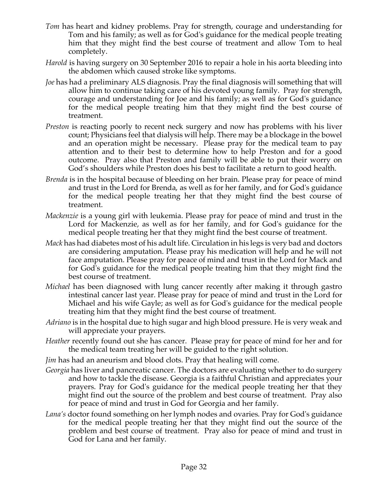- *Tom* has heart and kidney problems. Pray for strength, courage and understanding for Tom and his family; as well as for God's guidance for the medical people treating him that they might find the best course of treatment and allow Tom to heal completely.
- *Harold* is having surgery on 30 September 2016 to repair a hole in his aorta bleeding into the abdomen which caused stroke like symptoms.
- *Joe* has had a preliminary ALS diagnosis. Pray the final diagnosis will something that will allow him to continue taking care of his devoted young family. Pray for strength, courage and understanding for Joe and his family; as well as for God's guidance for the medical people treating him that they might find the best course of treatment.
- *Preston* is reacting poorly to recent neck surgery and now has problems with his liver count; Physicians feel that dialysis will help. There may be a blockage in the bowel and an operation might be necessary. Please pray for the medical team to pay attention and to their best to determine how to help Preston and for a good outcome. Pray also that Preston and family will be able to put their worry on God's shoulders while Preston does his best to facilitate a return to good health.
- *Brenda* is in the hospital because of bleeding on her brain. Please pray for peace of mind and trust in the Lord for Brenda, as well as for her family, and for God's guidance for the medical people treating her that they might find the best course of treatment.
- *Mackenzie* is a young girl with leukemia. Please pray for peace of mind and trust in the Lord for Mackenzie, as well as for her family, and for God's guidance for the medical people treating her that they might find the best course of treatment.
- *Mack* has had diabetes most of his adult life. Circulation in his legs is very bad and doctors are considering amputation. Please pray his medication will help and he will not face amputation. Please pray for peace of mind and trust in the Lord for Mack and for God's guidance for the medical people treating him that they might find the best course of treatment.
- *Michael* has been diagnosed with lung cancer recently after making it through gastro intestinal cancer last year. Please pray for peace of mind and trust in the Lord for Michael and his wife Gayle; as well as for God's guidance for the medical people treating him that they might find the best course of treatment.
- *Adriano* is in the hospital due to high sugar and high blood pressure. He is very weak and will appreciate your prayers.
- *Heather* recently found out she has cancer. Please pray for peace of mind for her and for the medical team treating her will be guided to the right solution.
- *Jim* has had an aneurism and blood clots. Pray that healing will come.
- *Georgia* has liver and pancreatic cancer. The doctors are evaluating whether to do surgery and how to tackle the disease. Georgia is a faithful Christian and appreciates your prayers. Pray for God's guidance for the medical people treating her that they might find out the source of the problem and best course of treatment. Pray also for peace of mind and trust in God for Georgia and her family.
- *Lana's* doctor found something on her lymph nodes and ovaries. Pray for God's guidance for the medical people treating her that they might find out the source of the problem and best course of treatment. Pray also for peace of mind and trust in God for Lana and her family.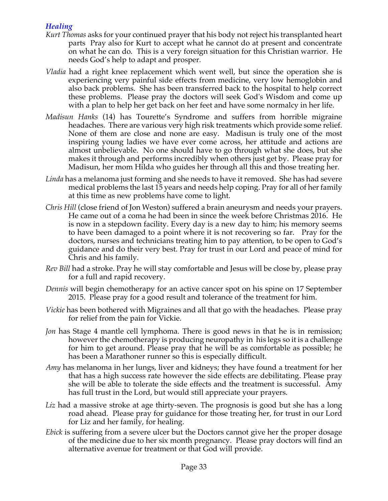#### *Healing*

- *Kurt Thomas* asks for your continued prayer that his body not reject his transplanted heart parts Pray also for Kurt to accept what he cannot do at present and concentrate on what he can do. This is a very foreign situation for this Christian warrior. He needs God's help to adapt and prosper.
- *Vladia* had a right knee replacement which went well, but since the operation she is experiencing very painful side effects from medicine, very low hemoglobin and also back problems. She has been transferred back to the hospital to help correct these problems. Please pray the doctors will seek God's Wisdom and come up with a plan to help her get back on her feet and have some normalcy in her life.
- *Madisun Hanks* (14) has Tourette's Syndrome and suffers from horrible migraine headaches. There are various very high risk treatments which provide some relief. None of them are close and none are easy. Madisun is truly one of the most inspiring young ladies we have ever come across, her attitude and actions are almost unbelievable. No one should have to go through what she does, but she makes it through and performs incredibly when others just get by. Please pray for Madisun, her mom Hilda who guides her through all this and those treating her.
- *Linda* has a melanoma just forming and she needs to have it removed. She has had severe medical problems the last 15 years and needs help coping. Pray for all of her family at this time as new problems have come to light.
- *Chris Hill* (close friend of Jon Weston) suffered a brain aneurysm and needs your prayers. He came out of a coma he had been in since the week before Christmas 2016. He is now in a stepdown facility. Every day is a new day to him; his memory seems to have been damaged to a point where it is not recovering so far. Pray for the doctors, nurses and technicians treating him to pay attention, to be open to God's guidance and do their very best. Pray for trust in our Lord and peace of mind for Chris and his family.
- *Rev Bill* had a stroke. Pray he will stay comfortable and Jesus will be close by, please pray for a full and rapid recovery.
- *Dennis* will begin chemotherapy for an active cancer spot on his spine on 17 September 2015. Please pray for a good result and tolerance of the treatment for him.
- *Vickie* has been bothered with Migraines and all that go with the headaches. Please pray for relief from the pain for Vickie.
- *Jon* has Stage 4 mantle cell lymphoma. There is good news in that he is in remission; however the chemotherapy is producing neuropathy in his legs so it is a challenge for him to get around. Please pray that he will be as comfortable as possible; he has been a Marathoner runner so this is especially difficult.
- *Amy* has melanoma in her lungs, liver and kidneys; they have found a treatment for her that has a high success rate however the side effects are debilitating. Please pray she will be able to tolerate the side effects and the treatment is successful. Amy has full trust in the Lord, but would still appreciate your prayers.
- *Liz* had a massive stroke at age thirty-seven. The prognosis is good but she has a long road ahead. Please pray for guidance for those treating her, for trust in our Lord for Liz and her family, for healing.
- *Ebick* is suffering from a severe ulcer but the Doctors cannot give her the proper dosage of the medicine due to her six month pregnancy. Please pray doctors will find an alternative avenue for treatment or that God will provide.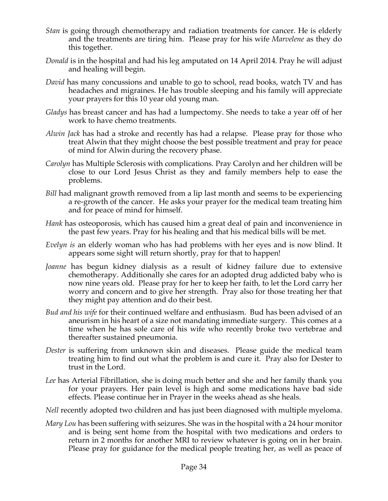- *Stan* is going through chemotherapy and radiation treatments for cancer. He is elderly and the treatments are tiring him. Please pray for his wife *Marvelene* as they do this together.
- *Donald* is in the hospital and had his leg amputated on 14 April 2014. Pray he will adjust and healing will begin.
- *David* has many concussions and unable to go to school, read books, watch TV and has headaches and migraines. He has trouble sleeping and his family will appreciate your prayers for this 10 year old young man.
- *Gladys* has breast cancer and has had a lumpectomy. She needs to take a year off of her work to have chemo treatments.
- *Alwin Jack* has had a stroke and recently has had a relapse. Please pray for those who treat Alwin that they might choose the best possible treatment and pray for peace of mind for Alwin during the recovery phase.
- *Carolyn* has Multiple Sclerosis with complications. Pray Carolyn and her children will be close to our Lord Jesus Christ as they and family members help to ease the problems.
- *Bill* had malignant growth removed from a lip last month and seems to be experiencing a re-growth of the cancer. He asks your prayer for the medical team treating him and for peace of mind for himself.
- *Hank* has osteoporosis, which has caused him a great deal of pain and inconvenience in the past few years. Pray for his healing and that his medical bills will be met.
- *Evelyn is* an elderly woman who has had problems with her eyes and is now blind. It appears some sight will return shortly, pray for that to happen!
- *Joanne* has begun kidney dialysis as a result of kidney failure due to extensive chemotherapy. Additionally she cares for an adopted drug addicted baby who is now nine years old. Please pray for her to keep her faith, to let the Lord carry her worry and concern and to give her strength. Pray also for those treating her that they might pay attention and do their best.
- *Bud and his wife* for their continued welfare and enthusiasm. Bud has been advised of an aneurism in his heart of a size not mandating immediate surgery. This comes at a time when he has sole care of his wife who recently broke two vertebrae and thereafter sustained pneumonia.
- *Dester* is suffering from unknown skin and diseases. Please guide the medical team treating him to find out what the problem is and cure it. Pray also for Dester to trust in the Lord.
- *Lee* has Arterial Fibrillation, she is doing much better and she and her family thank you for your prayers. Her pain level is high and some medications have bad side effects. Please continue her in Prayer in the weeks ahead as she heals.
- *Nell* recently adopted two children and has just been diagnosed with multiple myeloma.
- *Mary Lou* has been suffering with seizures. She was in the hospital with a 24 hour monitor and is being sent home from the hospital with two medications and orders to return in 2 months for another MRI to review whatever is going on in her brain. Please pray for guidance for the medical people treating her, as well as peace of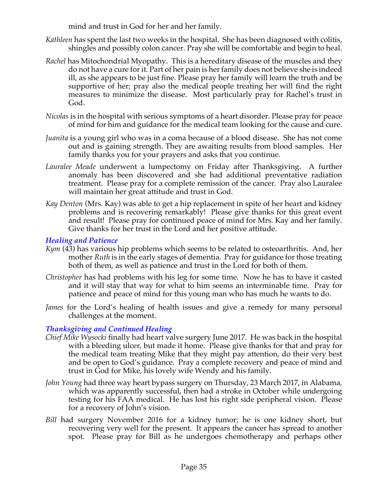mind and trust in God for her and her family.

- *Kathleen* has spent the last two weeks in the hospital. She has been diagnosed with colitis, shingles and possibly colon cancer. Pray she will be comfortable and begin to heal.
- *Rachel* has Mitochondrial Myopathy. This is a hereditary disease of the muscles and they do not have a cure for it. Part of her pain is her family does not believe she is indeed ill, as she appears to be just fine. Please pray her family will learn the truth and be supportive of her; pray also the medical people treating her will find the right measures to minimize the disease. Most particularly pray for Rachel's trust in God.
- *Nicolas* is in the hospital with serious symptoms of a heart disorder. Please pray for peace of mind for him and guidance for the medical team looking for the cause and cure.
- *Juanita* is a young girl who was in a coma because of a blood disease. She has not come out and is gaining strength. They are awaiting results from blood samples. Her family thanks you for your prayers and asks that you continue.
- *Lauralee Meade* underwent a lumpectomy on Friday after Thanksgiving. A further anomaly has been discovered and she had additional preventative radiation treatment. Please pray for a complete remission of the cancer. Pray also Lauralee will maintain her great attitude and trust in God.
- *Kay Denton* (Mrs. Kay) was able to get a hip replacement in spite of her heart and kidney problems and is recovering remarkably! Please give thanks for this great event and result! Please pray for continued peace of mind for Mrs. Kay and her family. Give thanks for her trust in the Lord and her positive attitude.

#### *Healing and Patience*

- *Kym* (43) has various hip problems which seems to be related to osteoarthritis. And, her mother *Ruth* is in the early stages of dementia. Pray for guidance for those treating both of them, as well as patience and trust in the Lord for both of them.
- *Christopher* has had problems with his leg for some time. Now he has to have it casted and it will stay that way for what to him seems an interminable time. Pray for patience and peace of mind for this young man who has much he wants to do.
- *James* for the Lord's healing of health issues and give a remedy for many personal challenges at the moment.

#### *Thanksgiving and Continued Healing*

- *Chief Mike Wysocki* finally had heart valve surgery June 2017. He was back in the hospital with a bleeding ulcer, but made it home. Please give thanks for that and pray for the medical team treating Mike that they might pay attention, do their very best and be open to God's guidance. Pray a complete recovery and peace of mind and trust in God for Mike, his lovely wife Wendy and his family.
- *John Young* had three way heart bypass surgery on Thursday, 23 March 2017, in Alabama, which was apparently successful, then had a stroke in October while undergoing testing for his FAA medical. He has lost his right side peripheral vision. Please for a recovery of John's vision.
- *Bill* had surgery November 2016 for a kidney tumor; he is one kidney short, but recovering very well for the present. It appears the cancer has spread to another spot. Please pray for Bill as he undergoes chemotherapy and perhaps other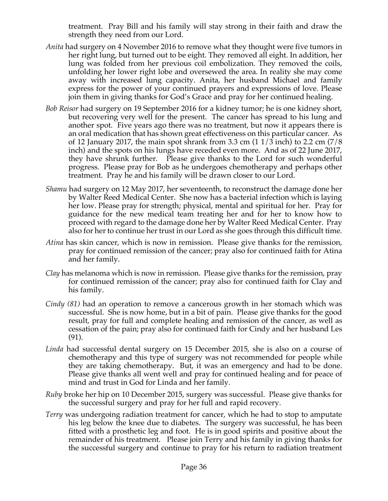treatment. Pray Bill and his family will stay strong in their faith and draw the strength they need from our Lord.

- *Anita* had surgery on 4 November 2016 to remove what they thought were five tumors in her right lung, but turned out to be eight. They removed all eight. In addition, her lung was folded from her previous coil embolization. They removed the coils, unfolding her lower right lobe and oversewed the area. In reality she may come away with increased lung capacity. Anita, her husband Michael and family express for the power of your continued prayers and expressions of love. Please join them in giving thanks for God's Grace and pray for her continued healing.
- *Bob Reisor* had surgery on 19 September 2016 for a kidney tumor; he is one kidney short, but recovering very well for the present. The cancer has spread to his lung and another spot. Five years ago there was no treatment, but now it appears there is an oral medication that has shown great effectiveness on this particular cancer. As of 12 January 2017, the main spot shrank from 3.3 cm  $(11/3 \text{ inch})$  to 2.2 cm  $(7/8 \text{ ft})$ inch) and the spots on his lungs have receded even more. And as of 22 June 2017, they have shrunk further. Please give thanks to the Lord for such wonderful progress. Please pray for Bob as he undergoes chemotherapy and perhaps other treatment. Pray he and his family will be drawn closer to our Lord.
- *Shamu* had surgery on 12 May 2017, her seventeenth, to reconstruct the damage done her by Walter Reed Medical Center. She now has a bacterial infection which is laying her low. Please pray for strength; physical, mental and spiritual for her. Pray for guidance for the new medical team treating her and for her to know how to proceed with regard to the damage done her by Walter Reed Medical Center. Pray also for her to continue her trust in our Lord as she goes through this difficult time.
- *Atina* has skin cancer, which is now in remission. Please give thanks for the remission, pray for continued remission of the cancer; pray also for continued faith for Atina and her family.
- *Clay* has melanoma which is now in remission. Please give thanks for the remission, pray for continued remission of the cancer; pray also for continued faith for Clay and his family.
- *Cindy (81)* had an operation to remove a cancerous growth in her stomach which was successful. She is now home, but in a bit of pain. Please give thanks for the good result, pray for full and complete healing and remission of the cancer, as well as cessation of the pain; pray also for continued faith for Cindy and her husband Les (91).
- *Linda* had successful dental surgery on 15 December 2015, she is also on a course of chemotherapy and this type of surgery was not recommended for people while they are taking chemotherapy. But, it was an emergency and had to be done. Please give thanks all went well and pray for continued healing and for peace of mind and trust in God for Linda and her family.
- *Ruby* broke her hip on 10 December 2015, surgery was successful. Please give thanks for the successful surgery and pray for her full and rapid recovery.
- *Terry* was undergoing radiation treatment for cancer, which he had to stop to amputate his leg below the knee due to diabetes. The surgery was successful, he has been fitted with a prosthetic leg and foot. He is in good spirits and positive about the remainder of his treatment. Please join Terry and his family in giving thanks for the successful surgery and continue to pray for his return to radiation treatment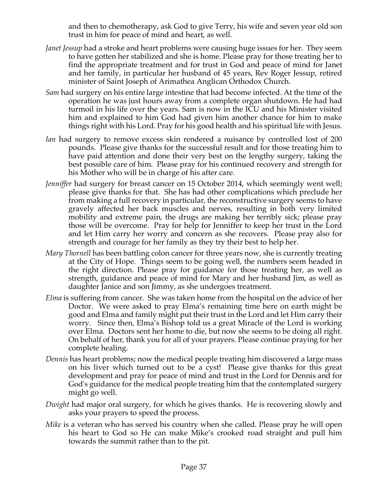and then to chemotherapy, ask God to give Terry, his wife and seven year old son trust in him for peace of mind and heart, as well.

- *Janet Jessup* had a stroke and heart problems were causing huge issues for her. They seem to have gotten her stabilized and she is home. Please pray for those treating her to find the appropriate treatment and for trust in God and peace of mind for Janet and her family, in particular her husband of 45 years, Rev Roger Jessup, retired minister of Saint Joseph of Arimathea Anglican Orthodox Church.
- *Sam* had surgery on his entire large intestine that had become infected. At the time of the operation he was just hours away from a complete organ shutdown. He had had turmoil in his life over the years. Sam is now in the ICU and his Minister visited him and explained to him God had given him another chance for him to make things right with his Lord. Pray for his good health and his spiritual life with Jesus.
- *Ian* had surgery to remove excess skin rendered a nuisance by controlled lost of 200 pounds. Please give thanks for the successful result and for those treating him to have paid attention and done their very best on the lengthy surgery, taking the best possible care of him. Please pray for his continued recovery and strength for his Mother who will be in charge of his after care.
- *Jenniffer* had surgery for breast cancer on 15 October 2014, which seemingly went well; please give thanks for that. She has had other complications which preclude her from making a full recovery in particular, the reconstructive surgery seems to have gravely affected her back muscles and nerves, resulting in both very limited mobility and extreme pain, the drugs are making her terribly sick; please pray those will be overcome. Pray for help for Jenniffer to keep her trust in the Lord and let Him carry her worry and concern as she recovers. Please pray also for strength and courage for her family as they try their best to help her.
- *Mary Thornell* has been battling colon cancer for three years now, she is currently treating at the City of Hope. Things seem to be going well, the numbers seem headed in the right direction. Please pray for guidance for those treating her, as well as strength, guidance and peace of mind for Mary and her husband Jim, as well as daughter Janice and son Jimmy, as she undergoes treatment.
- *Elma* is suffering from cancer. She was taken home from the hospital on the advice of her Doctor. We were asked to pray Elma's remaining time here on earth might be good and Elma and family might put their trust in the Lord and let Him carry their worry. Since then, Elma's Bishop told us a great Miracle of the Lord is working over Elma. Doctors sent her home to die, but now she seems to be doing all right. On behalf of her, thank you for all of your prayers. Please continue praying for her complete healing.
- *Dennis* has heart problems; now the medical people treating him discovered a large mass on his liver which turned out to be a cyst! Please give thanks for this great development and pray for peace of mind and trust in the Lord for Dennis and for God's guidance for the medical people treating him that the contemplated surgery might go well.
- *Dwight* had major oral surgery, for which he gives thanks. He is recovering slowly and asks your prayers to speed the process.
- *Mike* is a veteran who has served his country when she called. Please pray he will open his heart to God so He can make Mike's crooked road straight and pull him towards the summit rather than to the pit.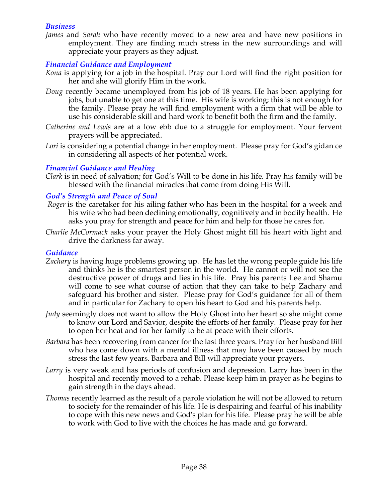#### *Business*

*James* and *Sarah* who have recently moved to a new area and have new positions in employment. They are finding much stress in the new surroundings and will appreciate your prayers as they adjust.

#### *Financial Guidance and Employment*

- *Kona* is applying for a job in the hospital. Pray our Lord will find the right position for her and she will glorify Him in the work.
- *Doug* recently became unemployed from his job of 18 years. He has been applying for jobs, but unable to get one at this time. His wife is working; this is not enough for the family. Please pray he will find employment with a firm that will be able to use his considerable skill and hard work to benefit both the firm and the family.
- *Catherine and Lewis* are at a low ebb due to a struggle for employment. Your fervent prayers will be appreciated.
- Lori is considering a potential change in her employment. Please pray for God's gidan ce in considering all aspects of her potential work.

#### *Financial Guidance and Healing*

*Clark* is in need of salvation; for God's Will to be done in his life. Pray his family will be blessed with the financial miracles that come from doing His Will.

#### *God's Strength and Peace of Soul*

- *Roger* is the caretaker for his ailing father who has been in the hospital for a week and his wife who had been declining emotionally, cognitively and in bodily health. He asks you pray for strength and peace for him and help for those he cares for.
- *Charlie McCormack* asks your prayer the Holy Ghost might fill his heart with light and drive the darkness far away.

#### *Guidance*

- *Zachary* is having huge problems growing up. He has let the wrong people guide his life and thinks he is the smartest person in the world. He cannot or will not see the destructive power of drugs and lies in his life. Pray his parents Lee and Shamu will come to see what course of action that they can take to help Zachary and safeguard his brother and sister. Please pray for God's guidance for all of them and in particular for Zachary to open his heart to God and his parents help.
- *Judy* seemingly does not want to allow the Holy Ghost into her heart so she might come to know our Lord and Savior, despite the efforts of her family. Please pray for her to open her heat and for her family to be at peace with their efforts.
- *Barbara* has been recovering from cancer for the last three years. Pray for her husband Bill who has come down with a mental illness that may have been caused by much stress the last few years. Barbara and Bill will appreciate your prayers.
- *Larry* is very weak and has periods of confusion and depression. Larry has been in the hospital and recently moved to a rehab. Please keep him in prayer as he begins to gain strength in the days ahead.
- *Thomas* recently learned as the result of a parole violation he will not be allowed to return to society for the remainder of his life. He is despairing and fearful of his inability to cope with this new news and God's plan for his life. Please pray he will be able to work with God to live with the choices he has made and go forward.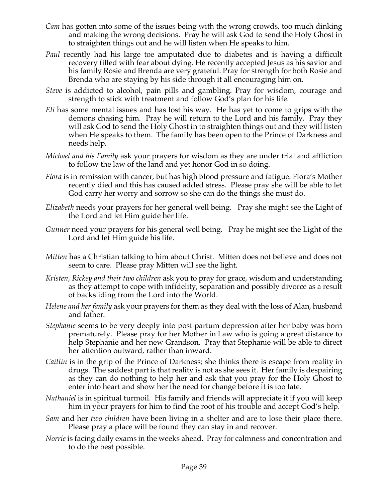- *Cam* has gotten into some of the issues being with the wrong crowds, too much dinking and making the wrong decisions. Pray he will ask God to send the Holy Ghost in to straighten things out and he will listen when He speaks to him.
- *Paul* recently had his large toe amputated due to diabetes and is having a difficult recovery filled with fear about dying. He recently accepted Jesus as his savior and his family Rosie and Brenda are very grateful. Pray for strength for both Rosie and Brenda who are staying by his side through it all encouraging him on.
- *Steve* is addicted to alcohol, pain pills and gambling. Pray for wisdom, courage and strength to stick with treatment and follow God's plan for his life.
- *Eli* has some mental issues and has lost his way. He has yet to come to grips with the demons chasing him. Pray he will return to the Lord and his family. Pray they will ask God to send the Holy Ghost in to straighten things out and they will listen when He speaks to them. The family has been open to the Prince of Darkness and needs help.
- *Michael and his Family* ask your prayers for wisdom as they are under trial and affliction to follow the law of the land and yet honor God in so doing.
- *Flora* is in remission with cancer, but has high blood pressure and fatigue. Flora's Mother recently died and this has caused added stress. Please pray she will be able to let God carry her worry and sorrow so she can do the things she must do.
- *Elizabeth* needs your prayers for her general well being. Pray she might see the Light of the Lord and let Him guide her life.
- *Gunner* need your prayers for his general well being. Pray he might see the Light of the Lord and let Him guide his life.
- *Mitten* has a Christian talking to him about Christ. Mitten does not believe and does not seem to care. Please pray Mitten will see the light.
- *Kristen, Rickey and their two children* ask you to pray for grace, wisdom and understanding as they attempt to cope with infidelity, separation and possibly divorce as a result of backsliding from the Lord into the World.
- *Helene and her family* ask your prayers for them as they deal with the loss of Alan, husband and father.
- *Stephanie* seems to be very deeply into post partum depression after her baby was born prematurely. Please pray for her Mother in Law who is going a great distance to help Stephanie and her new Grandson. Pray that Stephanie will be able to direct her attention outward, rather than inward.
- *Caitlin* is in the grip of the Prince of Darkness; she thinks there is escape from reality in drugs. The saddest part is that reality is not as she sees it. Her family is despairing as they can do nothing to help her and ask that you pray for the Holy Ghost to enter into heart and show her the need for change before it is too late.
- *Nathaniel* is in spiritual turmoil. His family and friends will appreciate it if you will keep him in your prayers for him to find the root of his trouble and accept God's help.
- *Sam* and her *two children* have been living in a shelter and are to lose their place there. Please pray a place will be found they can stay in and recover.
- *Norrie* is facing daily exams in the weeks ahead. Pray for calmness and concentration and to do the best possible.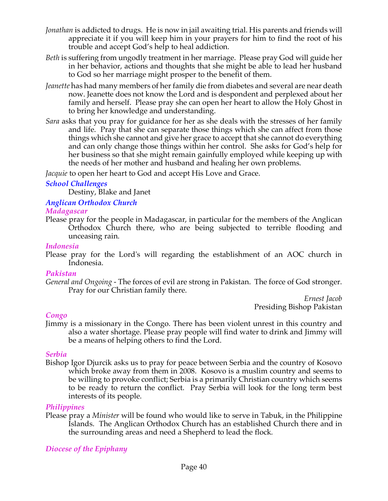- *Jonathan* is addicted to drugs. He is now in jail awaiting trial. His parents and friends will appreciate it if you will keep him in your prayers for him to find the root of his trouble and accept God's help to heal addiction.
- *Beth* is suffering from ungodly treatment in her marriage. Please pray God will guide her in her behavior, actions and thoughts that she might be able to lead her husband to God so her marriage might prosper to the benefit of them.
- *Jeanette* has had many members of her family die from diabetes and several are near death now. Jeanette does not know the Lord and is despondent and perplexed about her family and herself. Please pray she can open her heart to allow the Holy Ghost in to bring her knowledge and understanding.
- *Sara* asks that you pray for guidance for her as she deals with the stresses of her family and life. Pray that she can separate those things which she can affect from those things which she cannot and give her grace to accept that she cannot do everything and can only change those things within her control. She asks for God's help for her business so that she might remain gainfully employed while keeping up with the needs of her mother and husband and healing her own problems.

*Jacquie* to open her heart to God and accept His Love and Grace.

#### *School Challenges*

Destiny, Blake and Janet

### *Anglican Orthodox Church*

#### *Madagascar*

Please pray for the people in Madagascar, in particular for the members of the Anglican Orthodox Church there, who are being subjected to terrible flooding and unceasing rain.

#### *Indonesia*

Please pray for the Lord's will regarding the establishment of an AOC church in Indonesia.

#### *Pakistan*

*General and Ongoing -* The forces of evil are strong in Pakistan. The force of God stronger. Pray for our Christian family there.

*Ernest Jacob* Presiding Bishop Pakistan

#### *Congo*

Jimmy is a missionary in the Congo. There has been violent unrest in this country and also a water shortage. Please pray people will find water to drink and Jimmy will be a means of helping others to find the Lord.

#### *Serbia*

Bishop Igor Djurcik asks us to pray for peace between Serbia and the country of Kosovo which broke away from them in 2008. Kosovo is a muslim country and seems to be willing to provoke conflict; Serbia is a primarily Christian country which seems to be ready to return the conflict. Pray Serbia will look for the long term best interests of its people.

#### *Philippines*

Please pray a *Minister* will be found who would like to serve in Tabuk, in the Philippine Islands. The Anglican Orthodox Church has an established Church there and in the surrounding areas and need a Shepherd to lead the flock*.*

#### *Diocese of the Epiphany*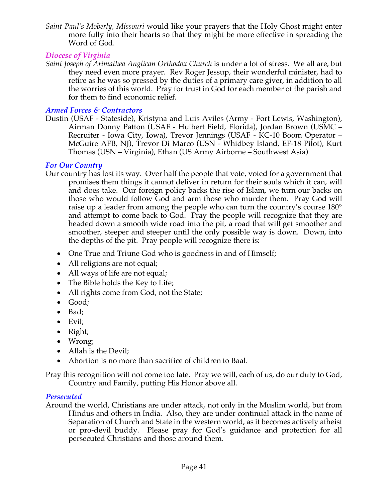*Saint Paul's Moberly, Missouri* would like your prayers that the Holy Ghost might enter more fully into their hearts so that they might be more effective in spreading the Word of God.

#### *Diocese of Virginia*

*Saint Joseph of Arimathea Anglican Orthodox Church* is under a lot of stress. We all are, but they need even more prayer. Rev Roger Jessup, their wonderful minister, had to retire as he was so pressed by the duties of a primary care giver, in addition to all the worries of this world. Pray for trust in God for each member of the parish and for them to find economic relief.

#### *Armed Forces & Contractors*

Dustin (USAF - Stateside), Kristyna and Luis Aviles (Army - Fort Lewis, Washington), Airman Donny Patton (USAF - Hulbert Field, Florida), Jordan Brown (USMC – Recruiter - Iowa City, Iowa), Trevor Jennings (USAF - KC-10 Boom Operator – McGuire AFB, NJ), Trevor Di Marco (USN - Whidbey Island, EF-18 Pilot), Kurt Thomas (USN – Virginia), Ethan (US Army Airborne – Southwest Asia)

#### *For Our Country*

- Our country has lost its way. Over half the people that vote, voted for a government that promises them things it cannot deliver in return for their souls which it can, will and does take. Our foreign policy backs the rise of Islam, we turn our backs on those who would follow God and arm those who murder them. Pray God will raise up a leader from among the people who can turn the country's course 180° and attempt to come back to God. Pray the people will recognize that they are headed down a smooth wide road into the pit, a road that will get smoother and smoother, steeper and steeper until the only possible way is down. Down, into the depths of the pit. Pray people will recognize there is:
	- One True and Triune God who is goodness in and of Himself;
	- All religions are not equal;
	- All ways of life are not equal;
	- The Bible holds the Key to Life;
	- All rights come from God, not the State;
	- Good;
	- Bad;
	- Evil;
	- Right;
	- Wrong;
	- Allah is the Devil;
	- Abortion is no more than sacrifice of children to Baal.

Pray this recognition will not come too late. Pray we will, each of us, do our duty to God, Country and Family, putting His Honor above all.

#### *Persecuted*

Around the world, Christians are under attack, not only in the Muslim world, but from Hindus and others in India. Also, they are under continual attack in the name of Separation of Church and State in the western world, as it becomes actively atheist or pro-devil buddy. Please pray for God's guidance and protection for all persecuted Christians and those around them.